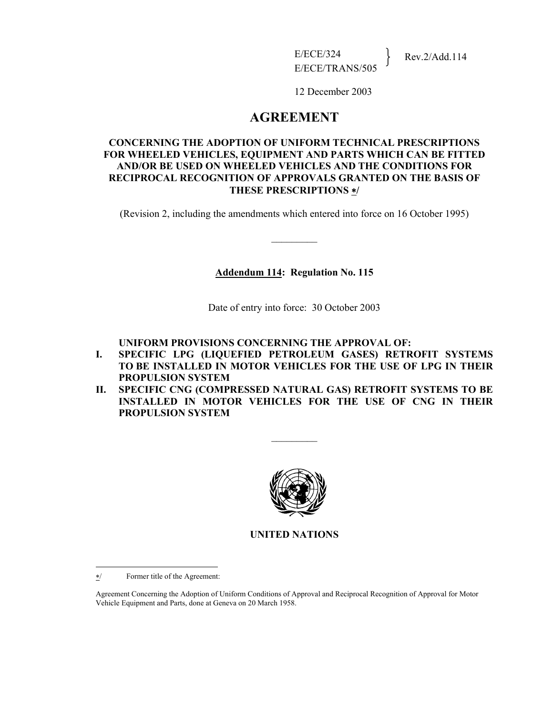12 December 2003

# **AGREEMENT**

### **CONCERNING THE ADOPTION OF UNIFORM TECHNICAL PRESCRIPTIONS FOR WHEELED VEHICLES, EQUIPMENT AND PARTS WHICH CAN BE FITTED AND/OR BE USED ON WHEELED VEHICLES AND THE CONDITIONS FOR RECIPROCAL RECOGNITION OF APPROVALS GRANTED ON THE BASIS OF THESE PRESCRIPTIONS** ∗**/**

(Revision 2, including the amendments which entered into force on 16 October 1995)

 $\mathcal{L}_\text{max}$ 

### **Addendum 114: Regulation No. 115**

Date of entry into force: 30 October 2003

### **UNIFORM PROVISIONS CONCERNING THE APPROVAL OF:**

- **I. SPECIFIC LPG (LIQUEFIED PETROLEUM GASES) RETROFIT SYSTEMS TO BE INSTALLED IN MOTOR VEHICLES FOR THE USE OF LPG IN THEIR PROPULSION SYSTEM**
- **II. SPECIFIC CNG (COMPRESSED NATURAL GAS) RETROFIT SYSTEMS TO BE INSTALLED IN MOTOR VEHICLES FOR THE USE OF CNG IN THEIR PROPULSION SYSTEM**

 $\frac{1}{2}$ 



**UNITED NATIONS** 

 $\overline{a}$ 

<sup>∗</sup>/ Former title of the Agreement:

Agreement Concerning the Adoption of Uniform Conditions of Approval and Reciprocal Recognition of Approval for Motor Vehicle Equipment and Parts, done at Geneva on 20 March 1958.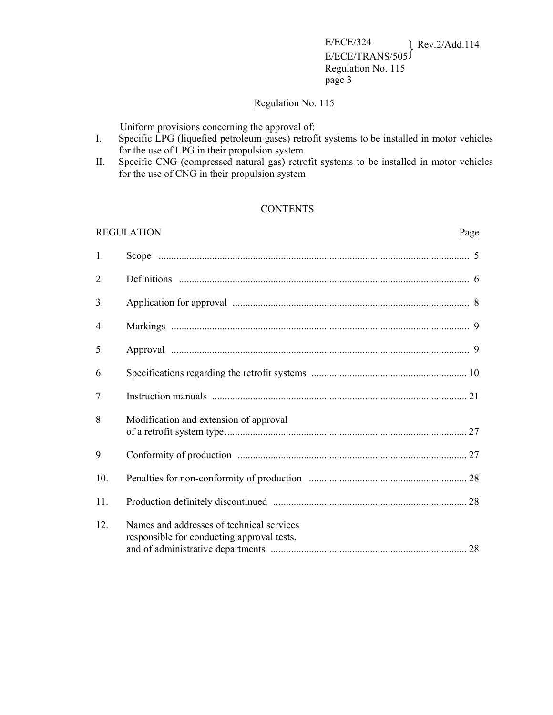### Regulation No. 115

Uniform provisions concerning the approval of:

- I. Specific LPG (liquefied petroleum gases) retrofit systems to be installed in motor vehicles for the use of LPG in their propulsion system
- II. Specific CNG (compressed natural gas) retrofit systems to be installed in motor vehicles for the use of CNG in their propulsion system

### **CONTENTS**

#### REGULATION Page

| 1.  |                                                                                         |  |
|-----|-----------------------------------------------------------------------------------------|--|
| 2.  |                                                                                         |  |
| 3.  |                                                                                         |  |
| 4.  |                                                                                         |  |
| 5.  |                                                                                         |  |
| 6.  |                                                                                         |  |
| 7.  |                                                                                         |  |
| 8.  | Modification and extension of approval                                                  |  |
| 9.  |                                                                                         |  |
| 10. |                                                                                         |  |
| 11. |                                                                                         |  |
| 12. | Names and addresses of technical services<br>responsible for conducting approval tests, |  |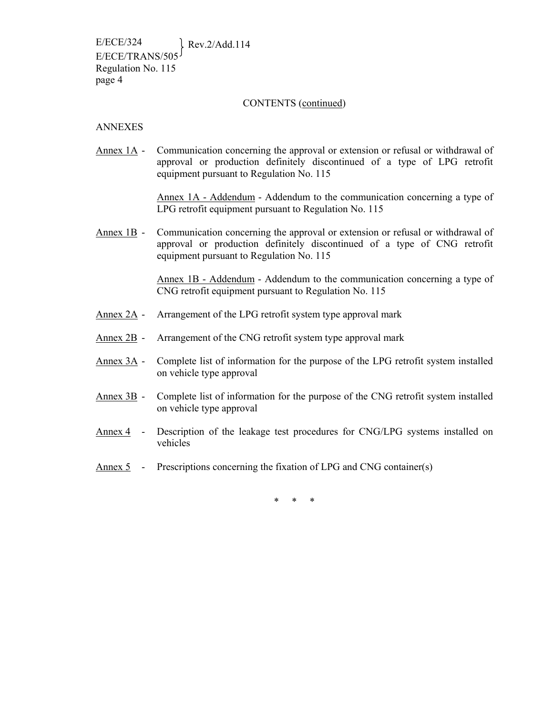#### CONTENTS (continued)

#### ANNEXES

Annex 1A - Communication concerning the approval or extension or refusal or withdrawal of approval or production definitely discontinued of a type of LPG retrofit equipment pursuant to Regulation No. 115

> Annex 1A - Addendum - Addendum to the communication concerning a type of LPG retrofit equipment pursuant to Regulation No. 115

Annex 1B - Communication concerning the approval or extension or refusal or withdrawal of approval or production definitely discontinued of a type of CNG retrofit equipment pursuant to Regulation No. 115

> Annex 1B - Addendum - Addendum to the communication concerning a type of CNG retrofit equipment pursuant to Regulation No. 115

- Annex 2A Arrangement of the LPG retrofit system type approval mark
- Annex 2B Arrangement of the CNG retrofit system type approval mark
- Annex 3A Complete list of information for the purpose of the LPG retrofit system installed on vehicle type approval
- Annex 3B Complete list of information for the purpose of the CNG retrofit system installed on vehicle type approval
- Annex 4 Description of the leakage test procedures for CNG/LPG systems installed on vehicles
- Annex 5 Prescriptions concerning the fixation of LPG and CNG container(s)

\* \* \*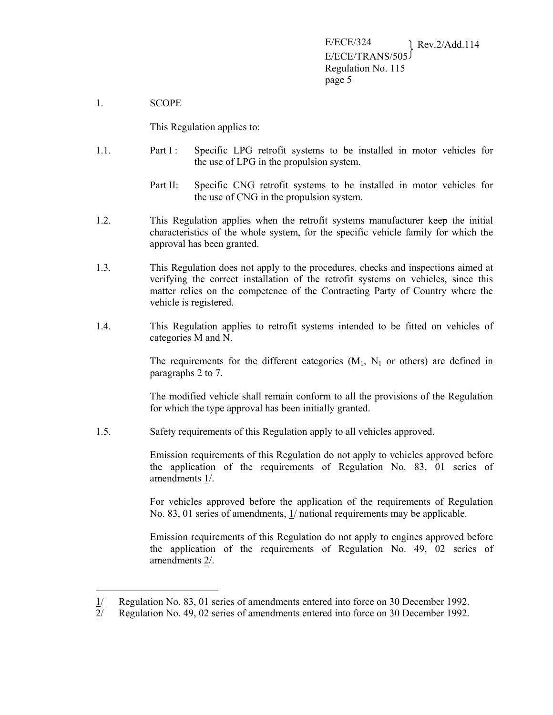1. SCOPE

 $\overline{a}$ 

This Regulation applies to:

- 1.1. Part I : Specific LPG retrofit systems to be installed in motor vehicles for the use of LPG in the propulsion system.
	- Part II: Specific CNG retrofit systems to be installed in motor vehicles for the use of CNG in the propulsion system.
- 1.2. This Regulation applies when the retrofit systems manufacturer keep the initial characteristics of the whole system, for the specific vehicle family for which the approval has been granted.
- 1.3. This Regulation does not apply to the procedures, checks and inspections aimed at verifying the correct installation of the retrofit systems on vehicles, since this matter relies on the competence of the Contracting Party of Country where the vehicle is registered.
- 1.4. This Regulation applies to retrofit systems intended to be fitted on vehicles of categories M and N.

The requirements for the different categories  $(M_1, N_1)$  or others) are defined in paragraphs 2 to 7.

The modified vehicle shall remain conform to all the provisions of the Regulation for which the type approval has been initially granted.

1.5. Safety requirements of this Regulation apply to all vehicles approved.

Emission requirements of this Regulation do not apply to vehicles approved before the application of the requirements of Regulation No. 83, 01 series of amendments 1/.

For vehicles approved before the application of the requirements of Regulation No. 83, 01 series of amendments, 1/ national requirements may be applicable.

Emission requirements of this Regulation do not apply to engines approved before the application of the requirements of Regulation No. 49, 02 series of amendments 2/.

<sup>1/</sup> Regulation No. 83, 01 series of amendments entered into force on 30 December 1992.

<sup>2/</sup> Regulation No. 49, 02 series of amendments entered into force on 30 December 1992.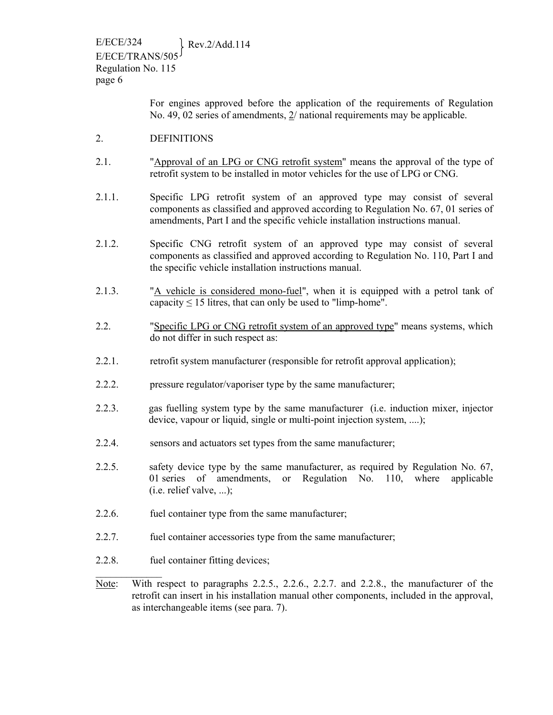> For engines approved before the application of the requirements of Regulation No. 49, 02 series of amendments, 2/ national requirements may be applicable.

- 2. DEFINITIONS
- 2.1. "Approval of an LPG or CNG retrofit system" means the approval of the type of retrofit system to be installed in motor vehicles for the use of LPG or CNG.
- 2.1.1. Specific LPG retrofit system of an approved type may consist of several components as classified and approved according to Regulation No. 67, 01 series of amendments, Part I and the specific vehicle installation instructions manual.
- 2.1.2. Specific CNG retrofit system of an approved type may consist of several components as classified and approved according to Regulation No. 110, Part I and the specific vehicle installation instructions manual.
- 2.1.3. "A vehicle is considered mono-fuel", when it is equipped with a petrol tank of capacity  $\leq 15$  litres, that can only be used to "limp-home".
- 2.2. "Specific LPG or CNG retrofit system of an approved type" means systems, which do not differ in such respect as:
- 2.2.1. retrofit system manufacturer (responsible for retrofit approval application);
- 2.2.2. pressure regulator/vaporiser type by the same manufacturer;
- 2.2.3. gas fuelling system type by the same manufacturer (i.e. induction mixer, injector device, vapour or liquid, single or multi-point injection system, ....);
- 2.2.4. sensors and actuators set types from the same manufacturer;
- 2.2.5. safety device type by the same manufacturer, as required by Regulation No. 67, 01 series of amendments, or Regulation No. 110, where applicable  $(i.e.$  relief valve, ...);
- 2.2.6. fuel container type from the same manufacturer;
- 2.2.7. fuel container accessories type from the same manufacturer;
- 2.2.8. fuel container fitting devices;

 $\mathcal{L}_\text{max}$ 

Note: With respect to paragraphs 2.2.5., 2.2.6., 2.2.7. and 2.2.8., the manufacturer of the retrofit can insert in his installation manual other components, included in the approval, as interchangeable items (see para. 7).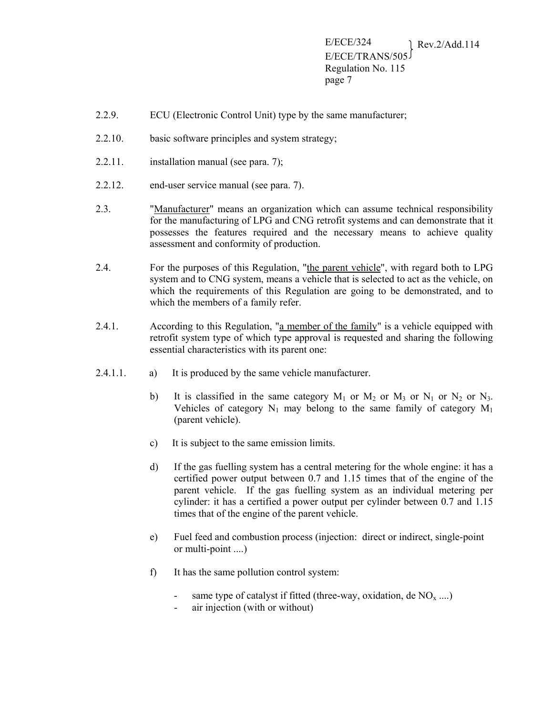- 2.2.9. ECU (Electronic Control Unit) type by the same manufacturer;
- 2.2.10. basic software principles and system strategy;
- $2.2.11.$  installation manual (see para. 7);
- 2.2.12. end-user service manual (see para. 7).
- 2.3. "Manufacturer" means an organization which can assume technical responsibility for the manufacturing of LPG and CNG retrofit systems and can demonstrate that it possesses the features required and the necessary means to achieve quality assessment and conformity of production.
- 2.4. For the purposes of this Regulation, "the parent vehicle", with regard both to LPG system and to CNG system, means a vehicle that is selected to act as the vehicle, on which the requirements of this Regulation are going to be demonstrated, and to which the members of a family refer.
- 2.4.1. According to this Regulation, "a member of the family" is a vehicle equipped with retrofit system type of which type approval is requested and sharing the following essential characteristics with its parent one:
- 2.4.1.1. a) It is produced by the same vehicle manufacturer.
	- b) It is classified in the same category  $M_1$  or  $M_2$  or  $M_3$  or  $N_1$  or  $N_2$  or  $N_3$ . Vehicles of category  $N_1$  may belong to the same family of category  $M_1$ (parent vehicle).
	- c) It is subject to the same emission limits.
	- d) If the gas fuelling system has a central metering for the whole engine: it has a certified power output between 0.7 and 1.15 times that of the engine of the parent vehicle. If the gas fuelling system as an individual metering per cylinder: it has a certified a power output per cylinder between 0.7 and 1.15 times that of the engine of the parent vehicle.
	- e) Fuel feed and combustion process (injection: direct or indirect, single-point or multi-point ....)
	- f) It has the same pollution control system:
		- same type of catalyst if fitted (three-way, oxidation, de  $NO_x$  ....)
		- air injection (with or without)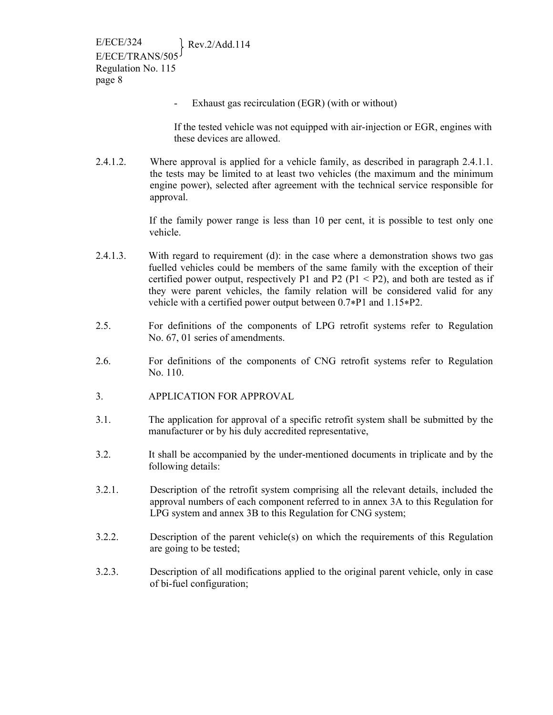Exhaust gas recirculation (EGR) (with or without)

If the tested vehicle was not equipped with air-injection or EGR, engines with these devices are allowed.

2.4.1.2. Where approval is applied for a vehicle family, as described in paragraph 2.4.1.1. the tests may be limited to at least two vehicles (the maximum and the minimum engine power), selected after agreement with the technical service responsible for approval.

> If the family power range is less than 10 per cent, it is possible to test only one vehicle.

- 2.4.1.3. With regard to requirement (d): in the case where a demonstration shows two gas fuelled vehicles could be members of the same family with the exception of their certified power output, respectively P1 and P2 (P1  $\leq$  P2), and both are tested as if they were parent vehicles, the family relation will be considered valid for any vehicle with a certified power output between 0.7\*P1 and 1.15\*P2.
- 2.5. For definitions of the components of LPG retrofit systems refer to Regulation No. 67, 01 series of amendments.
- 2.6. For definitions of the components of CNG retrofit systems refer to Regulation No. 110.
- 3. APPLICATION FOR APPROVAL
- 3.1. The application for approval of a specific retrofit system shall be submitted by the manufacturer or by his duly accredited representative,
- 3.2. It shall be accompanied by the under-mentioned documents in triplicate and by the following details:
- 3.2.1. Description of the retrofit system comprising all the relevant details, included the approval numbers of each component referred to in annex 3A to this Regulation for LPG system and annex 3B to this Regulation for CNG system;
- 3.2.2. Description of the parent vehicle(s) on which the requirements of this Regulation are going to be tested;
- 3.2.3. Description of all modifications applied to the original parent vehicle, only in case of bi-fuel configuration;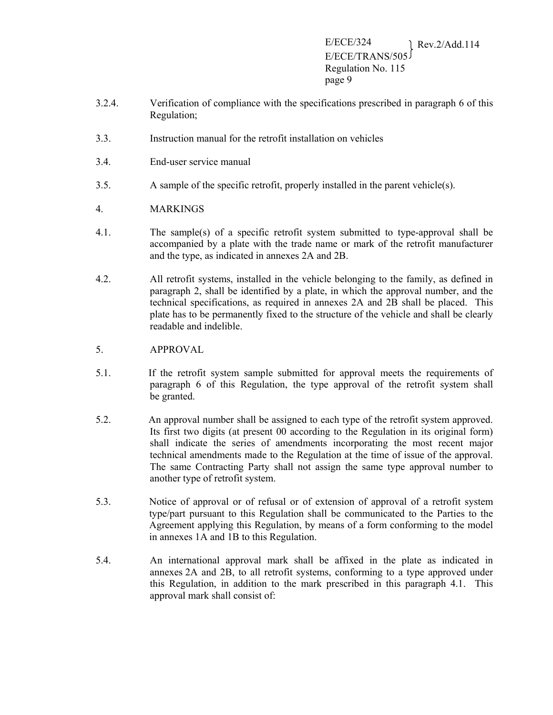- 3.2.4. Verification of compliance with the specifications prescribed in paragraph 6 of this Regulation;
- 3.3. Instruction manual for the retrofit installation on vehicles
- 3.4. End-user service manual
- 3.5. A sample of the specific retrofit, properly installed in the parent vehicle(s).
- 4. MARKINGS
- 4.1. The sample(s) of a specific retrofit system submitted to type-approval shall be accompanied by a plate with the trade name or mark of the retrofit manufacturer and the type, as indicated in annexes 2A and 2B.
- 4.2. All retrofit systems, installed in the vehicle belonging to the family, as defined in paragraph 2, shall be identified by a plate, in which the approval number, and the technical specifications, as required in annexes 2A and 2B shall be placed. This plate has to be permanently fixed to the structure of the vehicle and shall be clearly readable and indelible.
- 5. APPROVAL
- 5.1. If the retrofit system sample submitted for approval meets the requirements of paragraph 6 of this Regulation, the type approval of the retrofit system shall be granted.
- 5.2. An approval number shall be assigned to each type of the retrofit system approved. Its first two digits (at present 00 according to the Regulation in its original form) shall indicate the series of amendments incorporating the most recent major technical amendments made to the Regulation at the time of issue of the approval. The same Contracting Party shall not assign the same type approval number to another type of retrofit system.
- 5.3. Notice of approval or of refusal or of extension of approval of a retrofit system type/part pursuant to this Regulation shall be communicated to the Parties to the Agreement applying this Regulation, by means of a form conforming to the model in annexes 1A and 1B to this Regulation.
- 5.4. An international approval mark shall be affixed in the plate as indicated in annexes 2A and 2B, to all retrofit systems, conforming to a type approved under this Regulation, in addition to the mark prescribed in this paragraph 4.1. This approval mark shall consist of: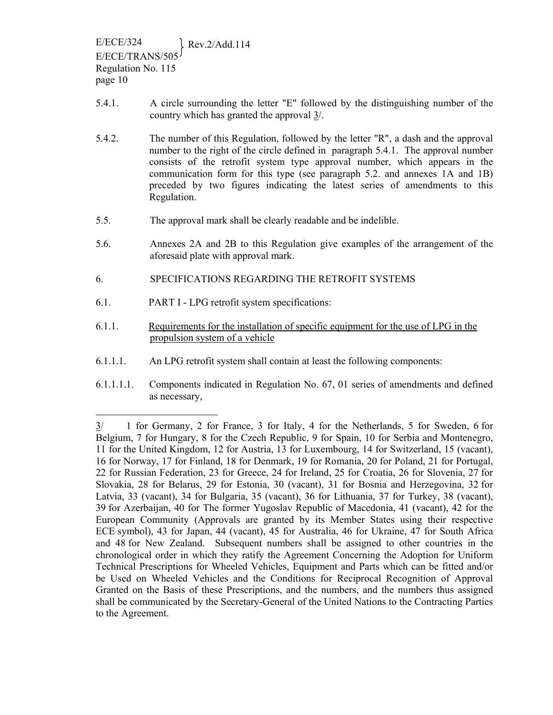- 5.4.1. A circle surrounding the letter "E" followed by the distinguishing number of the country which has granted the approval 3/.
- 5.4.2. The number of this Regulation, followed by the letter "R", a dash and the approval number to the right of the circle defined in paragraph 5.4.1. The approval number consists of the retrofit system type approval number, which appears in the communication form for this type (see paragraph 5.2. and annexes 1A and 1B) preceded by two figures indicating the latest series of amendments to this Regulation.
- 5.5. The approval mark shall be clearly readable and be indelible.
- 5.6. Annexes 2A and 2B to this Regulation give examples of the arrangement of the aforesaid plate with approval mark.
- 6. SPECIFICATIONS REGARDING THE RETROFIT SYSTEMS
- 6.1. PART I LPG retrofit system specifications:

 $\overline{a}$ 

- 6.1.1. Requirements for the installation of specific equipment for the use of LPG in the propulsion system of a vehicle
- 6.1.1.1. An LPG retrofit system shall contain at least the following components:
- 6.1.1.1.1. Components indicated in Regulation No. 67, 01 series of amendments and defined as necessary,

<sup>3/ 1</sup> for Germany, 2 for France, 3 for Italy, 4 for the Netherlands, 5 for Sweden, 6 for Belgium, 7 for Hungary, 8 for the Czech Republic, 9 for Spain, 10 for Serbia and Montenegro, 11 for the United Kingdom, 12 for Austria, 13 for Luxembourg, 14 for Switzerland, 15 (vacant), 16 for Norway, 17 for Finland, 18 for Denmark, 19 for Romania, 20 for Poland, 21 for Portugal, 22 for Russian Federation, 23 for Greece, 24 for Ireland, 25 for Croatia, 26 for Slovenia, 27 for Slovakia, 28 for Belarus, 29 for Estonia, 30 (vacant), 31 for Bosnia and Herzegovina, 32 for Latvia, 33 (vacant), 34 for Bulgaria, 35 (vacant), 36 for Lithuania, 37 for Turkey, 38 (vacant), 39 for Azerbaijan, 40 for The former Yugoslav Republic of Macedonia, 41 (vacant), 42 for the European Community (Approvals are granted by its Member States using their respective ECE symbol), 43 for Japan, 44 (vacant), 45 for Australia, 46 for Ukraine, 47 for South Africa and 48 for New Zealand. Subsequent numbers shall be assigned to other countries in the chronological order in which they ratify the Agreement Concerning the Adoption for Uniform Technical Prescriptions for Wheeled Vehicles, Equipment and Parts which can be fitted and/or be Used on Wheeled Vehicles and the Conditions for Reciprocal Recognition of Approval Granted on the Basis of these Prescriptions, and the numbers, and the numbers thus assigned shall be communicated by the Secretary-General of the United Nations to the Contracting Parties to the Agreement.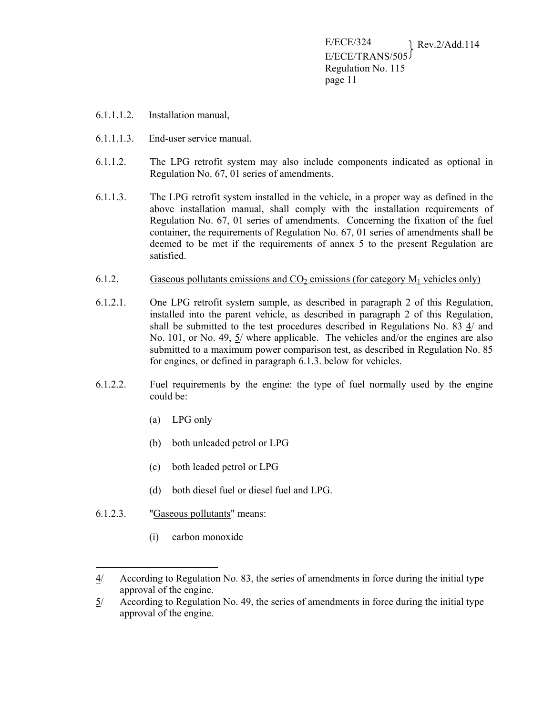- 6.1.1.1.2. Installation manual,
- 6.1.1.1.3. End-user service manual.
- 6.1.1.2. The LPG retrofit system may also include components indicated as optional in Regulation No. 67, 01 series of amendments.
- 6.1.1.3. The LPG retrofit system installed in the vehicle, in a proper way as defined in the above installation manual, shall comply with the installation requirements of Regulation No. 67, 01 series of amendments. Concerning the fixation of the fuel container, the requirements of Regulation No. 67, 01 series of amendments shall be deemed to be met if the requirements of annex 5 to the present Regulation are satisfied.
- 6.1.2. Gaseous pollutants emissions and  $CO<sub>2</sub>$  emissions (for category  $M<sub>1</sub>$  vehicles only)
- 6.1.2.1. One LPG retrofit system sample, as described in paragraph 2 of this Regulation, installed into the parent vehicle, as described in paragraph 2 of this Regulation, shall be submitted to the test procedures described in Regulations No. 83 4/ and No. 101, or No. 49, 5/ where applicable. The vehicles and/or the engines are also submitted to a maximum power comparison test, as described in Regulation No. 85 for engines, or defined in paragraph 6.1.3. below for vehicles.
- 6.1.2.2. Fuel requirements by the engine: the type of fuel normally used by the engine could be:
	- (a) LPG only
	- (b) both unleaded petrol or LPG
	- (c) both leaded petrol or LPG
	- (d) both diesel fuel or diesel fuel and LPG.
- 6.1.2.3. "Gaseous pollutants" means:

 $\overline{a}$ 

(i) carbon monoxide

<sup>4/</sup> According to Regulation No. 83, the series of amendments in force during the initial type approval of the engine.

<sup>5/</sup> According to Regulation No. 49, the series of amendments in force during the initial type approval of the engine.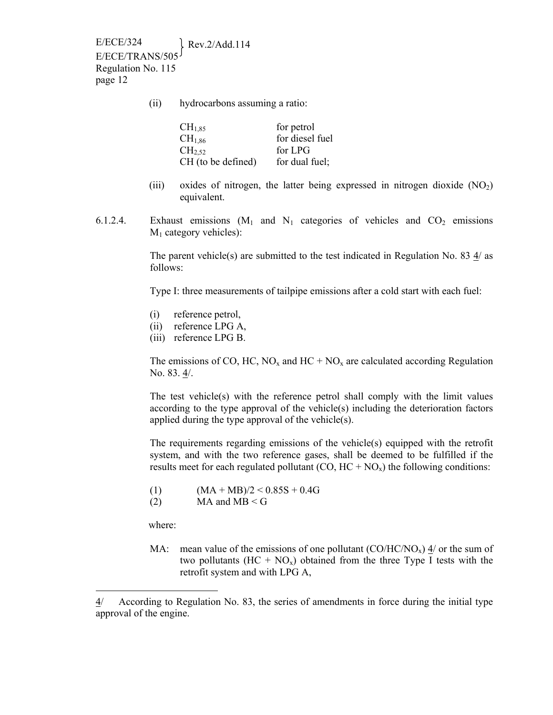(ii) hydrocarbons assuming a ratio:

| $CH_{1,85}$        | for petrol      |
|--------------------|-----------------|
| CH <sub>1,86</sub> | for diesel fuel |
| CH <sub>2.52</sub> | for LPG         |
| CH (to be defined) | for dual fuel;  |

- (iii) oxides of nitrogen, the latter being expressed in nitrogen dioxide  $(NO<sub>2</sub>)$ equivalent.
- 6.1.2.4. Exhaust emissions  $(M_1 \text{ and } N_1 \text{ categories of vehicles and } CO_2 \text{ emissions}$  $M_1$  category vehicles):

The parent vehicle(s) are submitted to the test indicated in Regulation No. 83  $\frac{4}{a}$  as follows:

Type I: three measurements of tailpipe emissions after a cold start with each fuel:

- (i) reference petrol,
- (ii) reference LPG A,
- (iii) reference LPG B.

The emissions of CO, HC,  $NO_x$  and HC +  $NO_x$  are calculated according Regulation No. 83. 4/.

The test vehicle(s) with the reference petrol shall comply with the limit values according to the type approval of the vehicle $(s)$  including the deterioration factors applied during the type approval of the vehicle(s).

The requirements regarding emissions of the vehicle(s) equipped with the retrofit system, and with the two reference gases, shall be deemed to be fulfilled if the results meet for each regulated pollutant  $(CO, HC + NO_x)$  the following conditions:

- (1)  $(MA + MB)/2 < 0.85S + 0.4G$
- (2) MA and  $MB < G$

where:

 $\overline{a}$ 

MA: mean value of the emissions of one pollutant  $(CO/HC/NO<sub>x</sub>)$  4/ or the sum of two pollutants  $(HC + NO_x)$  obtained from the three Type I tests with the retrofit system and with LPG A,

<sup>4/</sup> According to Regulation No. 83, the series of amendments in force during the initial type approval of the engine.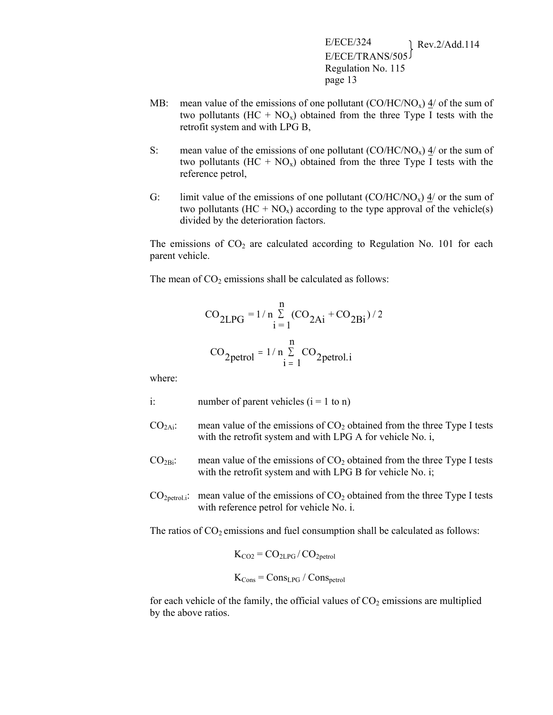- MB: mean value of the emissions of one pollutant  $(CO/HC/NO<sub>x</sub>) \frac{4}{ }$  of the sum of two pollutants  $(HC + NO_x)$  obtained from the three Type I tests with the retrofit system and with LPG B,
- S: mean value of the emissions of one pollutant  $(CO/HC/NO<sub>x</sub>)$  4/ or the sum of two pollutants  $(HC + NO<sub>x</sub>)$  obtained from the three Type I tests with the reference petrol,
- G: limit value of the emissions of one pollutant  $(CO/HC/NO<sub>x</sub>)$  4/ or the sum of two pollutants  $(HC + NO_x)$  according to the type approval of the vehicle(s) divided by the deterioration factors.

The emissions of  $CO<sub>2</sub>$  are calculated according to Regulation No. 101 for each parent vehicle.

The mean of  $CO<sub>2</sub>$  emissions shall be calculated as follows:

$$
CO_{2LPG} = 1/n \sum_{i=1}^{n} (CO_{2Ai} + CO_{2Bi})/2
$$
  
 $CO_{2petrol} = 1/n \sum_{i=1}^{n} CO_{2petrol.i}$ 

where:

- i: number of parent vehicles  $(i = 1 \text{ to } n)$
- $CO<sub>2</sub>Ai$ : mean value of the emissions of  $CO<sub>2</sub>$  obtained from the three Type I tests with the retrofit system and with LPG A for vehicle No. i,
- $CO<sub>2Bi</sub>$ : mean value of the emissions of  $CO<sub>2</sub>$  obtained from the three Type I tests with the retrofit system and with LPG B for vehicle No. i;
- $CO<sub>2petrol.i</sub>$ : mean value of the emissions of  $CO<sub>2</sub>$  obtained from the three Type I tests with reference petrol for vehicle No. i.

The ratios of  $CO<sub>2</sub>$  emissions and fuel consumption shall be calculated as follows:

$$
K_{CO2} = CO_{2LPG}/CO_{2petrol}
$$

$$
K_{Cons} = Cons_{LPG} \, / \, Cons_{petrol}
$$

for each vehicle of the family, the official values of  $CO<sub>2</sub>$  emissions are multiplied by the above ratios.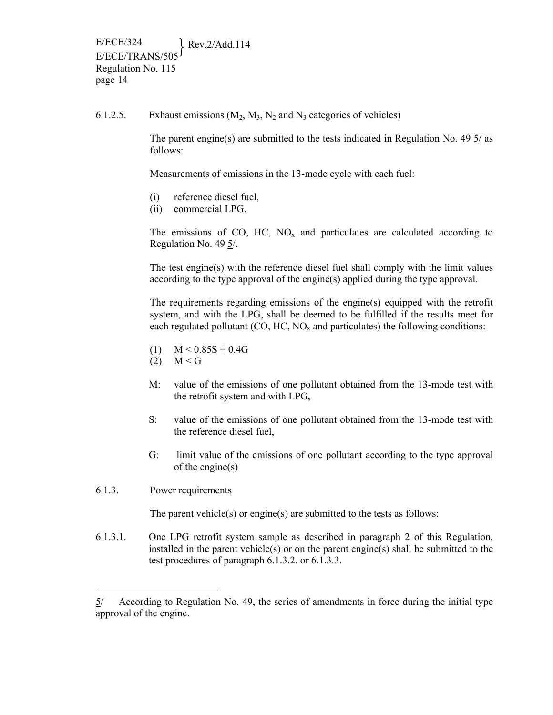6.1.2.5. Exhaust emissions  $(M_2, M_3, N_2)$  and  $N_3$  categories of vehicles)

The parent engine(s) are submitted to the tests indicated in Regulation No. 49  $\frac{5}{a}$  as follows:

Measurements of emissions in the 13-mode cycle with each fuel:

- (i) reference diesel fuel,
- (ii) commercial LPG.

The emissions of CO, HC,  $NO<sub>x</sub>$  and particulates are calculated according to Regulation No. 49 5/.

The test engine(s) with the reference diesel fuel shall comply with the limit values according to the type approval of the engine(s) applied during the type approval.

The requirements regarding emissions of the engine(s) equipped with the retrofit system, and with the LPG, shall be deemed to be fulfilled if the results meet for each regulated pollutant  $(CO, HC, NO<sub>x</sub>$  and particulates) the following conditions:

- (1)  $M < 0.85S + 0.4G$
- $(2)$   $M < G$
- M: value of the emissions of one pollutant obtained from the 13-mode test with the retrofit system and with LPG,
- S: value of the emissions of one pollutant obtained from the 13-mode test with the reference diesel fuel,
- G: limit value of the emissions of one pollutant according to the type approval of the engine(s)
- 6.1.3. Power requirements

 $\overline{a}$ 

The parent vehicle(s) or engine(s) are submitted to the tests as follows:

6.1.3.1. One LPG retrofit system sample as described in paragraph 2 of this Regulation, installed in the parent vehicle(s) or on the parent engine(s) shall be submitted to the test procedures of paragraph 6.1.3.2. or 6.1.3.3.

<sup>5/</sup> According to Regulation No. 49, the series of amendments in force during the initial type approval of the engine.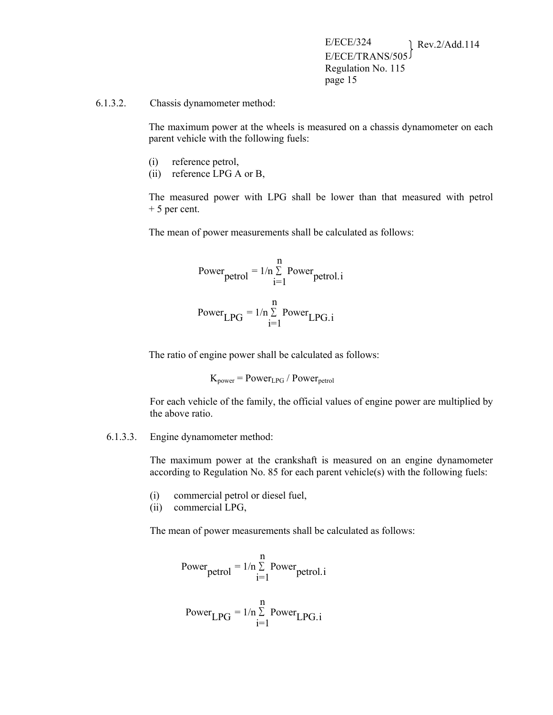#### 6.1.3.2. Chassis dynamometer method:

The maximum power at the wheels is measured on a chassis dynamometer on each parent vehicle with the following fuels:

- (i) reference petrol,
- (ii) reference LPG A or B,

The measured power with LPG shall be lower than that measured with petrol + 5 per cent.

The mean of power measurements shall be calculated as follows:

Power<sub>petrol</sub> = 
$$
1/n \sum_{i=1}^{n}
$$
 Power<sub>petrol.i</sub>  
Power<sub>LPG</sub> =  $1/n \sum_{i=1}^{n}$  Power<sub>LPG.i</sub>

The ratio of engine power shall be calculated as follows:

$$
K_{power} = Power_{LPG} / Power_{petrol}
$$

For each vehicle of the family, the official values of engine power are multiplied by the above ratio.

#### 6.1.3.3. Engine dynamometer method:

The maximum power at the crankshaft is measured on an engine dynamometer according to Regulation No. 85 for each parent vehicle(s) with the following fuels:

- (i) commercial petrol or diesel fuel,
- (ii) commercial LPG,

The mean of power measurements shall be calculated as follows:

Power<sub>petrol</sub> = 
$$
1/n \sum_{i=1}^{n}
$$
 Power<sub>petrol.i</sub>

Power<sub>LPG</sub> = 
$$
1/n \sum_{i=1}^{n}
$$
 Power<sub>LPG.i</sub>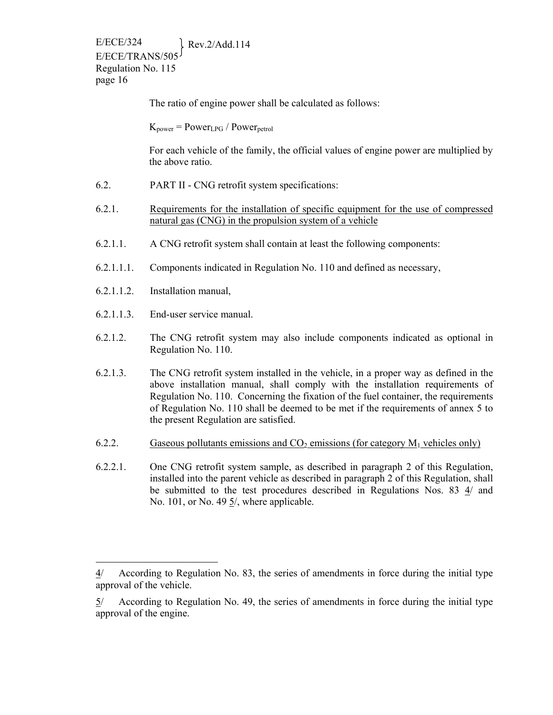The ratio of engine power shall be calculated as follows:

 $K_{power} = Power_{LPG} / Power_{petrol}$ 

For each vehicle of the family, the official values of engine power are multiplied by the above ratio.

- 6.2. PART II CNG retrofit system specifications:
- 6.2.1. Requirements for the installation of specific equipment for the use of compressed natural gas (CNG) in the propulsion system of a vehicle
- 6.2.1.1. A CNG retrofit system shall contain at least the following components:
- 6.2.1.1.1. Components indicated in Regulation No. 110 and defined as necessary,
- 6.2.1.1.2. Installation manual,

 $\overline{a}$ 

- 6.2.1.1.3. End-user service manual.
- 6.2.1.2. The CNG retrofit system may also include components indicated as optional in Regulation No. 110.
- 6.2.1.3. The CNG retrofit system installed in the vehicle, in a proper way as defined in the above installation manual, shall comply with the installation requirements of Regulation No. 110. Concerning the fixation of the fuel container, the requirements of Regulation No. 110 shall be deemed to be met if the requirements of annex 5 to the present Regulation are satisfied.
- 6.2.2. Gaseous pollutants emissions and  $CO_2$  emissions (for category  $M_1$  vehicles only)
- 6.2.2.1. One CNG retrofit system sample, as described in paragraph 2 of this Regulation, installed into the parent vehicle as described in paragraph 2 of this Regulation, shall be submitted to the test procedures described in Regulations Nos. 83 4/ and No. 101, or No. 49  $\frac{5}{2}$ , where applicable.

<sup>4/</sup> According to Regulation No. 83, the series of amendments in force during the initial type approval of the vehicle.

<sup>5/</sup> According to Regulation No. 49, the series of amendments in force during the initial type approval of the engine.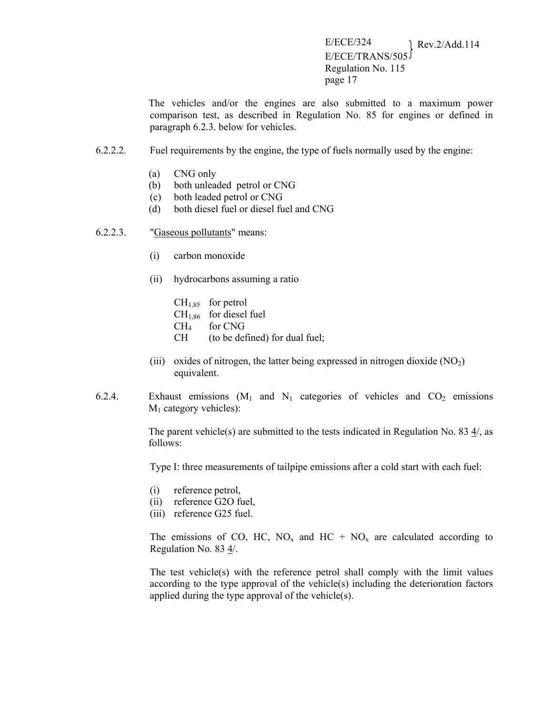The vehicles and/or the engines are also submitted to a maximum power comparison test, as described in Regulation No. 85 for engines or defined in paragraph 6.2.3. below for vehicles.

- 6.2.2.2. Fuel requirements by the engine, the type of fuels normally used by the engine:
	- (a) CNG only
	- (b) both unleaded petrol or CNG
	- (c) both leaded petrol or CNG
	- (d) both diesel fuel or diesel fuel and CNG
- 6.2.2.3. "Gaseous pollutants" means:
	- (i) carbon monoxide
	- (ii) hydrocarbons assuming a ratio
		- $CH<sub>1,85</sub>$  for petrol  $CH<sub>1,86</sub>$  for diesel fuel CH4 for CNG CH (to be defined) for dual fuel;
	- (iii) oxides of nitrogen, the latter being expressed in nitrogen dioxide  $(NO<sub>2</sub>)$ equivalent.
- 6.2.4. Exhaust emissions  $(M_1 \text{ and } N_1 \text{ categories of vehicles and } CO_2 \text{ emissions}$  $M_1$  category vehicles):

The parent vehicle(s) are submitted to the tests indicated in Regulation No. 83  $\frac{4}{7}$ , as follows:

Type I: three measurements of tailpipe emissions after a cold start with each fuel:

- (i) reference petrol,
- (ii) reference G2O fuel,
- (iii) reference G25 fuel.

The emissions of CO, HC, NO<sub>x</sub> and HC + NO<sub>x</sub> are calculated according to Regulation No. 83 4/.

The test vehicle(s) with the reference petrol shall comply with the limit values according to the type approval of the vehicle(s) including the deterioration factors applied during the type approval of the vehicle(s).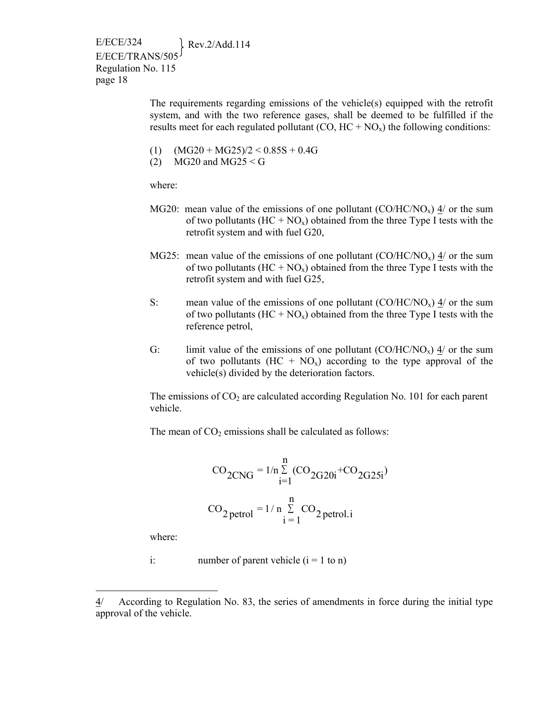> The requirements regarding emissions of the vehicle(s) equipped with the retrofit system, and with the two reference gases, shall be deemed to be fulfilled if the results meet for each regulated pollutant  $(CO, HC + NO_x)$  the following conditions:

- (1)  $(MG20 + MG25)/2 < 0.85S + 0.4G$
- (2) MG20 and MG25  $\le$  G

where:

- MG20: mean value of the emissions of one pollutant  $(CO/HC/NO<sub>x</sub>)$  4/ or the sum of two pollutants  $(HC + NO_x)$  obtained from the three Type I tests with the retrofit system and with fuel G20,
- MG25: mean value of the emissions of one pollutant  $(CO/HC/NO<sub>x</sub>)$   $\frac{4}{ }$  or the sum of two pollutants  $(HC + NO_x)$  obtained from the three Type I tests with the retrofit system and with fuel G25,
- S: mean value of the emissions of one pollutant  $(CO/HC/NO<sub>x</sub>)$  4/ or the sum of two pollutants  $(HC + NO_x)$  obtained from the three Type I tests with the reference petrol,
- G: limit value of the emissions of one pollutant  $(CO/HC/NO<sub>x</sub>)$  4/ or the sum of two pollutants  $(HC + NO_x)$  according to the type approval of the vehicle(s) divided by the deterioration factors.

The emissions of  $CO<sub>2</sub>$  are calculated according Regulation No. 101 for each parent vehicle.

The mean of  $CO<sub>2</sub>$  emissions shall be calculated as follows:

$$
CO_{2CNG} = 1/n \sum_{i=1}^{n} (CO_{2G20i} + CO_{2G25i})
$$
  
 $CO_{2 \text{ petrol}} = 1/n \sum_{i=1}^{n} CO_{2 \text{ petrol}.i}$ 

where:

 $\overline{a}$ 

i: number of parent vehicle  $(i = 1 \text{ to } n)$ 

<sup>4/</sup> According to Regulation No. 83, the series of amendments in force during the initial type approval of the vehicle.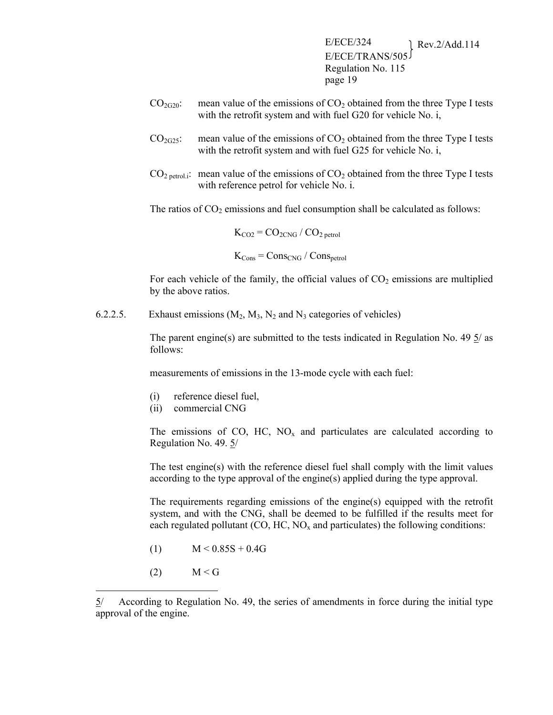- $CO<sub>2G20</sub>$ : mean value of the emissions of  $CO<sub>2</sub>$  obtained from the three Type I tests with the retrofit system and with fuel G20 for vehicle No. i,
- $CO<sub>2G25</sub>$ : mean value of the emissions of  $CO<sub>2</sub>$  obtained from the three Type I tests with the retrofit system and with fuel G25 for vehicle No. i,
- $CO<sub>2</sub>$  petrol.i: mean value of the emissions of  $CO<sub>2</sub>$  obtained from the three Type I tests with reference petrol for vehicle No. i.

The ratios of  $CO<sub>2</sub>$  emissions and fuel consumption shall be calculated as follows:

$$
K_{CO2} = CO_{2CNG} / CO_{2\text{ petrol}}
$$
  

$$
K_{Cons} = Cons_{CNG} / Cons_{petrol}
$$

For each vehicle of the family, the official values of  $CO<sub>2</sub>$  emissions are multiplied by the above ratios.

6.2.2.5. Exhaust emissions  $(M_2, M_3, N_2)$  and  $N_3$  categories of vehicles)

The parent engine(s) are submitted to the tests indicated in Regulation No. 49 5/ as follows:

measurements of emissions in the 13-mode cycle with each fuel:

- (i) reference diesel fuel,
- (ii) commercial CNG

The emissions of CO, HC,  $NO<sub>x</sub>$  and particulates are calculated according to Regulation No. 49. 5/

The test engine(s) with the reference diesel fuel shall comply with the limit values according to the type approval of the engine(s) applied during the type approval.

The requirements regarding emissions of the engine(s) equipped with the retrofit system, and with the CNG, shall be deemed to be fulfilled if the results meet for each regulated pollutant  $(CO, HC, NO<sub>x</sub>$  and particulates) the following conditions:

- (1)  $M < 0.85S + 0.4G$
- $(2)$   $M < G$

 $\overline{a}$ 

<sup>5/</sup> According to Regulation No. 49, the series of amendments in force during the initial type approval of the engine.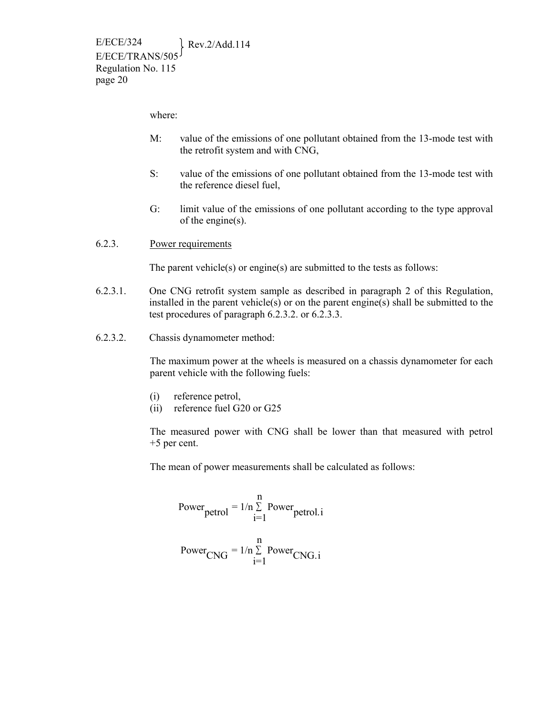where:

- M: value of the emissions of one pollutant obtained from the 13-mode test with the retrofit system and with CNG,
- S: value of the emissions of one pollutant obtained from the 13-mode test with the reference diesel fuel,
- G: limit value of the emissions of one pollutant according to the type approval of the engine(s).
- 6.2.3. Power requirements

The parent vehicle(s) or engine(s) are submitted to the tests as follows:

- 6.2.3.1. One CNG retrofit system sample as described in paragraph 2 of this Regulation, installed in the parent vehicle(s) or on the parent engine(s) shall be submitted to the test procedures of paragraph 6.2.3.2. or 6.2.3.3.
- 6.2.3.2. Chassis dynamometer method:

The maximum power at the wheels is measured on a chassis dynamometer for each parent vehicle with the following fuels:

- (i) reference petrol,
- (ii) reference fuel G20 or G25

The measured power with CNG shall be lower than that measured with petrol +5 per cent.

The mean of power measurements shall be calculated as follows:

Power<sub>petrol</sub> = 
$$
1/n \sum_{i=1}^{n}
$$
 Power<sub>petrol.i</sub>  
Power<sub>CNG</sub> =  $1/n \sum_{i=1}^{n}$  Power<sub>CNG.i</sub>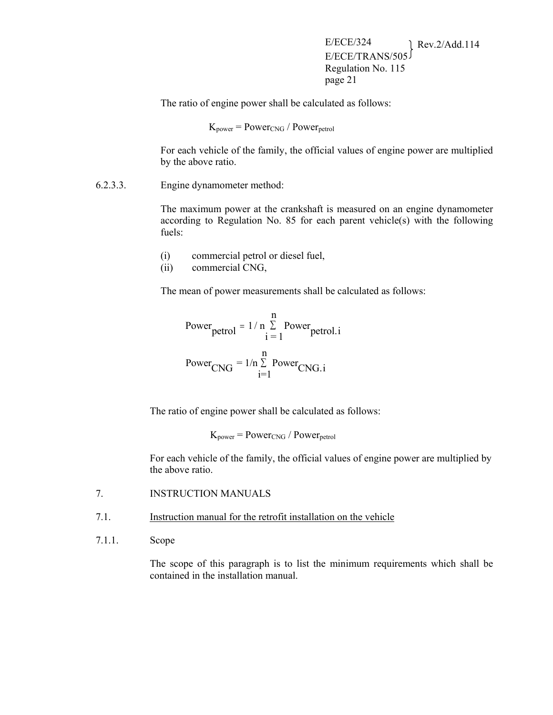The ratio of engine power shall be calculated as follows:

 $K_{power} = Power_{CNG} / Power_{petrol}$ 

For each vehicle of the family, the official values of engine power are multiplied by the above ratio.

6.2.3.3. Engine dynamometer method:

The maximum power at the crankshaft is measured on an engine dynamometer according to Regulation No. 85 for each parent vehicle(s) with the following fuels:

- (i) commercial petrol or diesel fuel,
- (ii) commercial CNG,

The mean of power measurements shall be calculated as follows:

Power<sub>petrol</sub> = 
$$
1/n \sum_{i=1}^{n}
$$
 Power<sub>petrol.i</sub>  
Power<sub>CNG</sub> =  $1/n \sum_{i=1}^{n}$  Power<sub>CNG.i</sub>

The ratio of engine power shall be calculated as follows:

 $K_{power} = Power_{CNG} / Power_{petrol}$ 

For each vehicle of the family, the official values of engine power are multiplied by the above ratio.

- 7. INSTRUCTION MANUALS
- 7.1. Instruction manual for the retrofit installation on the vehicle
- 7.1.1. Scope

The scope of this paragraph is to list the minimum requirements which shall be contained in the installation manual.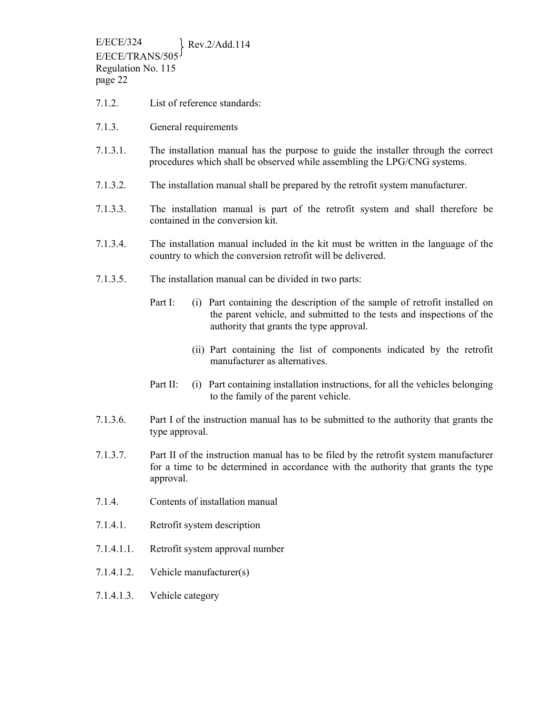- 7.1.2. List of reference standards:
- 7.1.3. General requirements
- 7.1.3.1. The installation manual has the purpose to guide the installer through the correct procedures which shall be observed while assembling the LPG/CNG systems.
- 7.1.3.2. The installation manual shall be prepared by the retrofit system manufacturer.
- 7.1.3.3. The installation manual is part of the retrofit system and shall therefore be contained in the conversion kit.
- 7.1.3.4. The installation manual included in the kit must be written in the language of the country to which the conversion retrofit will be delivered.
- 7.1.3.5. The installation manual can be divided in two parts:
	- Part I: (i) Part containing the description of the sample of retrofit installed on the parent vehicle, and submitted to the tests and inspections of the authority that grants the type approval.
		- (ii) Part containing the list of components indicated by the retrofit manufacturer as alternatives.
	- Part II: (i) Part containing installation instructions, for all the vehicles belonging to the family of the parent vehicle.
- 7.1.3.6. Part I of the instruction manual has to be submitted to the authority that grants the type approval.
- 7.1.3.7. Part II of the instruction manual has to be filed by the retrofit system manufacturer for a time to be determined in accordance with the authority that grants the type approval.
- 7.1.4. Contents of installation manual
- 7.1.4.1. Retrofit system description
- 7.1.4.1.1. Retrofit system approval number
- 7.1.4.1.2. Vehicle manufacturer(s)
- 7.1.4.1.3. Vehicle category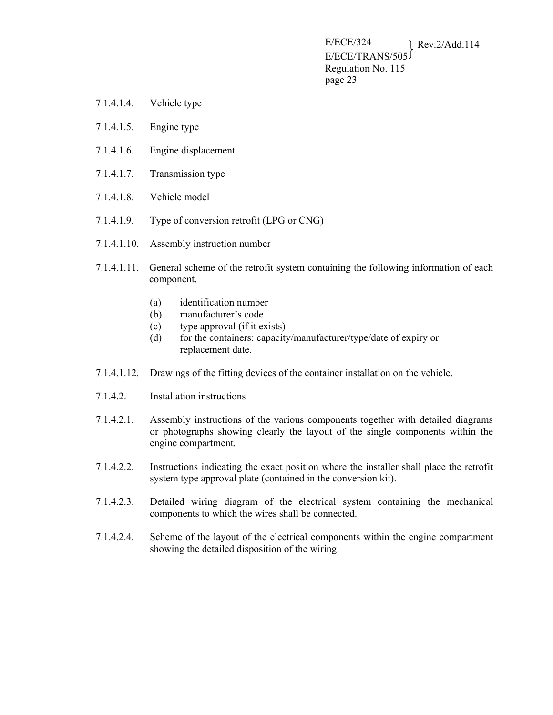- 7.1.4.1.4. Vehicle type
- 7.1.4.1.5. Engine type
- 7.1.4.1.6. Engine displacement
- 7.1.4.1.7. Transmission type
- 7.1.4.1.8. Vehicle model
- 7.1.4.1.9. Type of conversion retrofit (LPG or CNG)
- 7.1.4.1.10. Assembly instruction number
- 7.1.4.1.11. General scheme of the retrofit system containing the following information of each component.
	- (a) identification number
	- (b) manufacturer's code
	- (c) type approval (if it exists)
	- (d) for the containers: capacity/manufacturer/type/date of expiry or replacement date.
- 7.1.4.1.12. Drawings of the fitting devices of the container installation on the vehicle.
- 7.1.4.2. Installation instructions
- 7.1.4.2.1. Assembly instructions of the various components together with detailed diagrams or photographs showing clearly the layout of the single components within the engine compartment.
- 7.1.4.2.2. Instructions indicating the exact position where the installer shall place the retrofit system type approval plate (contained in the conversion kit).
- 7.1.4.2.3. Detailed wiring diagram of the electrical system containing the mechanical components to which the wires shall be connected.
- 7.1.4.2.4. Scheme of the layout of the electrical components within the engine compartment showing the detailed disposition of the wiring.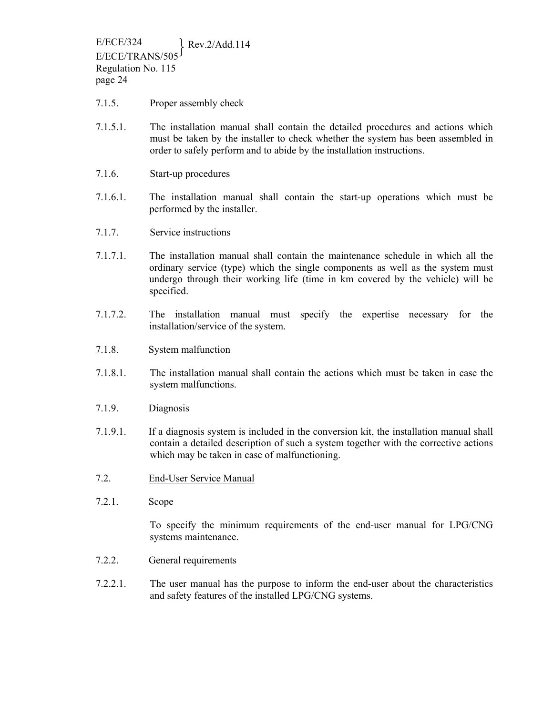- 7.1.5. Proper assembly check
- 7.1.5.1. The installation manual shall contain the detailed procedures and actions which must be taken by the installer to check whether the system has been assembled in order to safely perform and to abide by the installation instructions.
- 7.1.6. Start-up procedures
- 7.1.6.1. The installation manual shall contain the start-up operations which must be performed by the installer.
- 7.1.7. Service instructions
- 7.1.7.1. The installation manual shall contain the maintenance schedule in which all the ordinary service (type) which the single components as well as the system must undergo through their working life (time in km covered by the vehicle) will be specified.
- 7.1.7.2. The installation manual must specify the expertise necessary for the installation/service of the system.
- 7.1.8. System malfunction
- 7.1.8.1. The installation manual shall contain the actions which must be taken in case the system malfunctions.
- 7.1.9. Diagnosis
- 7.1.9.1. If a diagnosis system is included in the conversion kit, the installation manual shall contain a detailed description of such a system together with the corrective actions which may be taken in case of malfunctioning.
- 7.2. End-User Service Manual
- 7.2.1. Scope

To specify the minimum requirements of the end-user manual for LPG/CNG systems maintenance.

- 7.2.2. General requirements
- 7.2.2.1. The user manual has the purpose to inform the end-user about the characteristics and safety features of the installed LPG/CNG systems.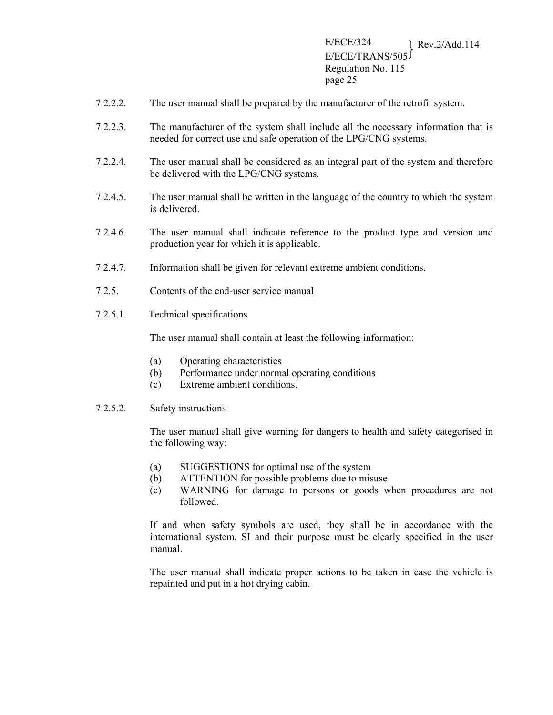- 7.2.2.2. The user manual shall be prepared by the manufacturer of the retrofit system.
- 7.2.2.3. The manufacturer of the system shall include all the necessary information that is needed for correct use and safe operation of the LPG/CNG systems.
- 7.2.2.4. The user manual shall be considered as an integral part of the system and therefore be delivered with the LPG/CNG systems.
- 7.2.4.5. The user manual shall be written in the language of the country to which the system is delivered.
- 7.2.4.6. The user manual shall indicate reference to the product type and version and production year for which it is applicable.
- 7.2.4.7. Information shall be given for relevant extreme ambient conditions.
- 7.2.5. Contents of the end-user service manual
- 7.2.5.1. Technical specifications

The user manual shall contain at least the following information:

- (a) Operating characteristics
- (b) Performance under normal operating conditions
- (c) Extreme ambient conditions.
- 7.2.5.2. Safety instructions

The user manual shall give warning for dangers to health and safety categorised in the following way:

- (a) SUGGESTIONS for optimal use of the system
- (b) ATTENTION for possible problems due to misuse
- (c) WARNING for damage to persons or goods when procedures are not followed.

If and when safety symbols are used, they shall be in accordance with the international system, SI and their purpose must be clearly specified in the user manual.

The user manual shall indicate proper actions to be taken in case the vehicle is repainted and put in a hot drying cabin.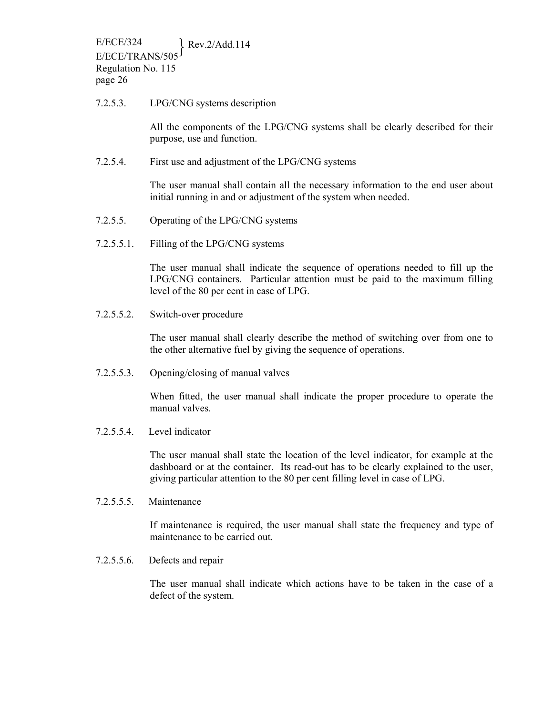#### 7.2.5.3. LPG/CNG systems description

All the components of the LPG/CNG systems shall be clearly described for their purpose, use and function.

7.2.5.4. First use and adjustment of the LPG/CNG systems

The user manual shall contain all the necessary information to the end user about initial running in and or adjustment of the system when needed.

- 7.2.5.5. Operating of the LPG/CNG systems
- 7.2.5.5.1. Filling of the LPG/CNG systems

The user manual shall indicate the sequence of operations needed to fill up the LPG/CNG containers. Particular attention must be paid to the maximum filling level of the 80 per cent in case of LPG.

7.2.5.5.2. Switch-over procedure

The user manual shall clearly describe the method of switching over from one to the other alternative fuel by giving the sequence of operations.

7.2.5.5.3. Opening/closing of manual valves

When fitted, the user manual shall indicate the proper procedure to operate the manual valves.

7.2.5.5.4. Level indicator

The user manual shall state the location of the level indicator, for example at the dashboard or at the container. Its read-out has to be clearly explained to the user, giving particular attention to the 80 per cent filling level in case of LPG.

7.2.5.5.5. Maintenance

If maintenance is required, the user manual shall state the frequency and type of maintenance to be carried out.

7.2.5.5.6. Defects and repair

The user manual shall indicate which actions have to be taken in the case of a defect of the system.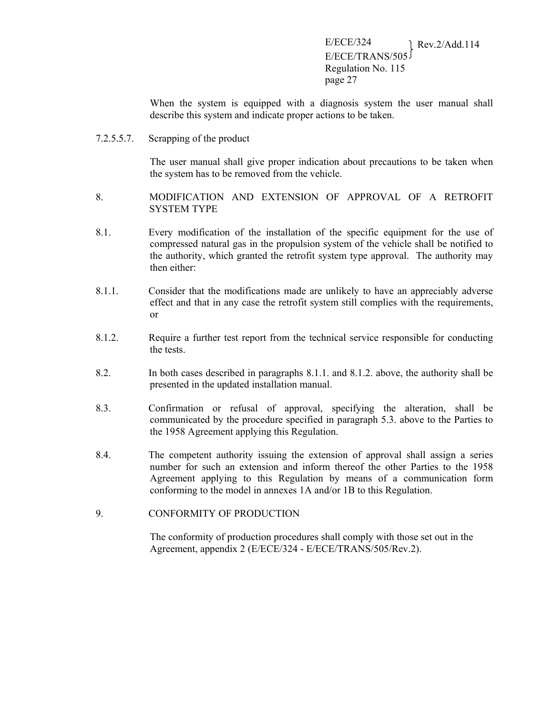When the system is equipped with a diagnosis system the user manual shall describe this system and indicate proper actions to be taken.

7.2.5.5.7. Scrapping of the product

The user manual shall give proper indication about precautions to be taken when the system has to be removed from the vehicle.

- 8. MODIFICATION AND EXTENSION OF APPROVAL OF A RETROFIT SYSTEM TYPE
- 8.1. Every modification of the installation of the specific equipment for the use of compressed natural gas in the propulsion system of the vehicle shall be notified to the authority, which granted the retrofit system type approval. The authority may then either:
- 8.1.1. Consider that the modifications made are unlikely to have an appreciably adverse effect and that in any case the retrofit system still complies with the requirements, or
- 8.1.2. Require a further test report from the technical service responsible for conducting the tests.
- 8.2. In both cases described in paragraphs 8.1.1. and 8.1.2. above, the authority shall be presented in the updated installation manual.
- 8.3. Confirmation or refusal of approval, specifying the alteration, shall be communicated by the procedure specified in paragraph 5.3. above to the Parties to the 1958 Agreement applying this Regulation.
- 8.4. The competent authority issuing the extension of approval shall assign a series number for such an extension and inform thereof the other Parties to the 1958 Agreement applying to this Regulation by means of a communication form conforming to the model in annexes 1A and/or 1B to this Regulation.
- 9. CONFORMITY OF PRODUCTION

The conformity of production procedures shall comply with those set out in the Agreement, appendix 2 (E/ECE/324 - E/ECE/TRANS/505/Rev.2).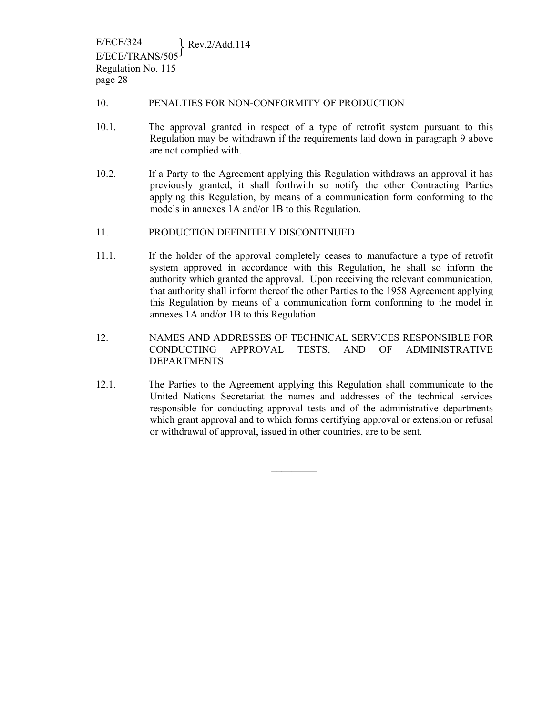#### 10. PENALTIES FOR NON-CONFORMITY OF PRODUCTION

- 10.1. The approval granted in respect of a type of retrofit system pursuant to this Regulation may be withdrawn if the requirements laid down in paragraph 9 above are not complied with.
- 10.2. If a Party to the Agreement applying this Regulation withdraws an approval it has previously granted, it shall forthwith so notify the other Contracting Parties applying this Regulation, by means of a communication form conforming to the models in annexes 1A and/or 1B to this Regulation.
- 11. PRODUCTION DEFINITELY DISCONTINUED
- 11.1. If the holder of the approval completely ceases to manufacture a type of retrofit system approved in accordance with this Regulation, he shall so inform the authority which granted the approval. Upon receiving the relevant communication, that authority shall inform thereof the other Parties to the 1958 Agreement applying this Regulation by means of a communication form conforming to the model in annexes 1A and/or 1B to this Regulation.
- 12. NAMES AND ADDRESSES OF TECHNICAL SERVICES RESPONSIBLE FOR CONDUCTING APPROVAL TESTS, AND OF ADMINISTRATIVE DEPARTMENTS
- 12.1. The Parties to the Agreement applying this Regulation shall communicate to the United Nations Secretariat the names and addresses of the technical services responsible for conducting approval tests and of the administrative departments which grant approval and to which forms certifying approval or extension or refusal or withdrawal of approval, issued in other countries, are to be sent.

 $\frac{1}{2}$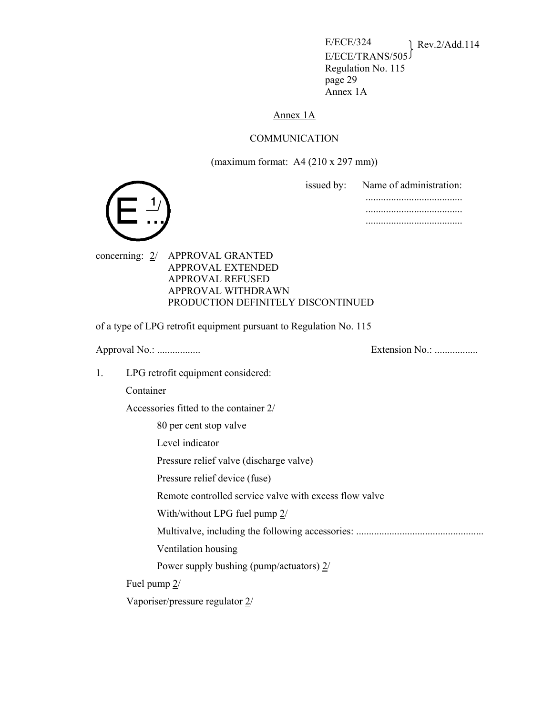E/ECE/324 Rev.2/Add.114 E/ECE/TRANS/505 Regulation No. 115 page 29 Annex 1A

### Annex 1A

### COMMUNICATION

(maximum format: A4 (210 x 297 mm))





concerning: 2/ APPROVAL GRANTED APPROVAL EXTENDED APPROVAL REFUSED APPROVAL WITHDRAWN PRODUCTION DEFINITELY DISCONTINUED

of a type of LPG retrofit equipment pursuant to Regulation No. 115

Approval No.: ................. Extension No.: .................

1. LPG retrofit equipment considered:

Container

Accessories fitted to the container 2/

80 per cent stop valve

Level indicator

Pressure relief valve (discharge valve)

Pressure relief device (fuse)

Remote controlled service valve with excess flow valve

With/without LPG fuel pump 2/

Multivalve, including the following accessories: ..................................................

Ventilation housing

Power supply bushing (pump/actuators) 2/

Fuel pump 2/

Vaporiser/pressure regulator 2/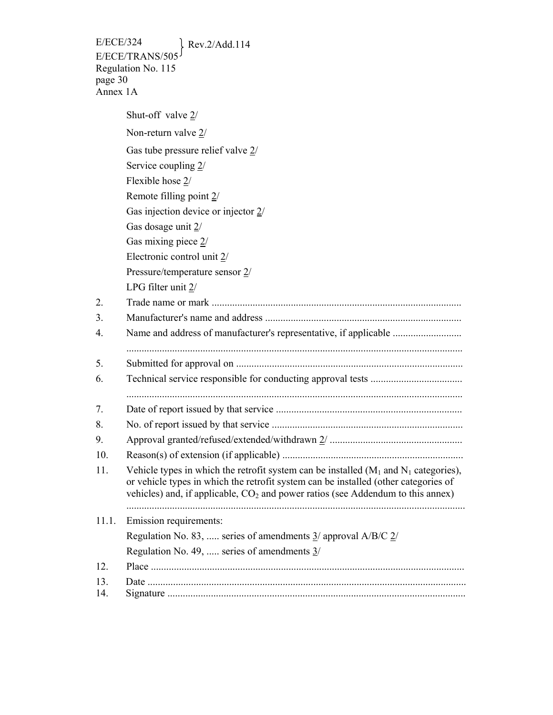Shut-off valve 2/ Non-return valve 2/ Gas tube pressure relief valve 2/ Service coupling 2/ Flexible hose 2/ Remote filling point 2/ Gas injection device or injector 2/ Gas dosage unit 2/ Gas mixing piece 2/ Electronic control unit 2/ Pressure/temperature sensor 2/ LPG filter unit 2/ 2. Trade name or mark .................................................................................................. 3. Manufacturer's name and address ............................................................................. 4. Name and address of manufacturer's representative, if applicable ........................... .................................................................................................................................... 5. Submitted for approval on ......................................................................................... 6. Technical service responsible for conducting approval tests .................................... .................................................................................................................................... 7. Date of report issued by that service ......................................................................... 8. No. of report issued by that service ........................................................................... 9. Approval granted/refused/extended/withdrawn 2/ .................................................... 10. Reason(s) of extension (if applicable) ....................................................................... 11. Vehicle types in which the retrofit system can be installed  $(M_1 \text{ and } N_1 \text{ categories})$ , or vehicle types in which the retrofit system can be installed (other categories of vehicles) and, if applicable,  $CO<sub>2</sub>$  and power ratios (see Addendum to this annex) ..................................................................................................................................... 11.1. Emission requirements: Regulation No. 83, ..... series of amendments 3/ approval A/B/C 2/ Regulation No. 49, ..... series of amendments 3/ 12. Place ........................................................................................................................... 13. Date ............................................................................................................................. 14. Signature .....................................................................................................................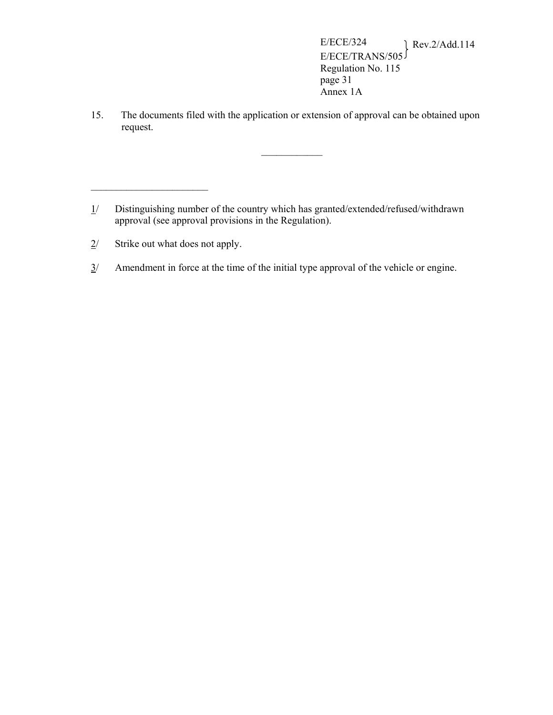15. The documents filed with the application or extension of approval can be obtained upon request.

 $\mathcal{L}_\text{max}$ 

2/ Strike out what does not apply.

 $\overline{\phantom{a}}$  , where  $\overline{\phantom{a}}$ 

 $3/$  Amendment in force at the time of the initial type approval of the vehicle or engine.

<sup>1/</sup> Distinguishing number of the country which has granted/extended/refused/withdrawn approval (see approval provisions in the Regulation).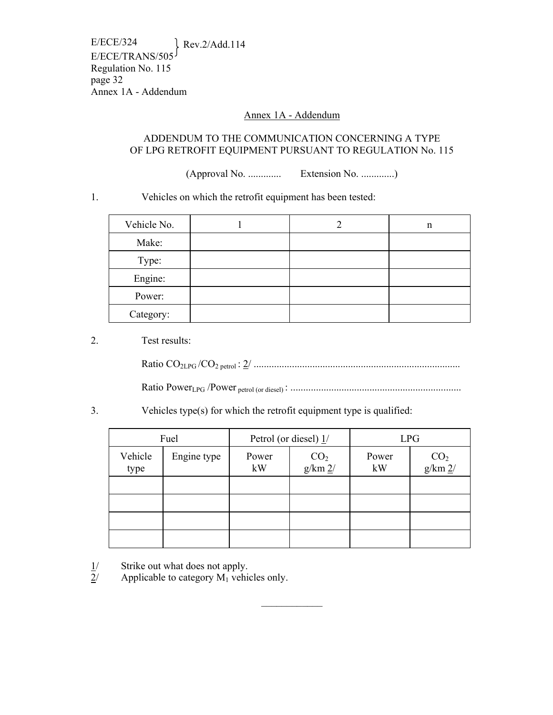E/ECE/324 Rev.2/Add.114 E/ECE/TRANS/505 Regulation No. 115 page 32 Annex 1A - Addendum

### Annex 1A - Addendum

### ADDENDUM TO THE COMMUNICATION CONCERNING A TYPE OF LPG RETROFIT EQUIPMENT PURSUANT TO REGULATION No. 115

(Approval No. ............. Extension No. .............)

### 1. Vehicles on which the retrofit equipment has been tested:

| Vehicle No. |  | n |
|-------------|--|---|
| Make:       |  |   |
| Type:       |  |   |
| Engine:     |  |   |
| Power:      |  |   |
| Category:   |  |   |

### 2. Test results:

Ratio CO2LPG /CO2 petrol : 2/ .................................................................................

Ratio PowerLPG /Power petrol (or diesel) : ...................................................................

### 3. Vehicles type(s) for which the retrofit equipment type is qualified:

| Fuel            |             | Petrol (or diesel) $1/$ |                                     | <b>LPG</b>  |                                     |
|-----------------|-------------|-------------------------|-------------------------------------|-------------|-------------------------------------|
| Vehicle<br>type | Engine type | Power<br>kW             | $\frac{\text{CO}_2}{\text{g/km 2}}$ | Power<br>kW | $\frac{\text{CO}_2}{\text{g/km 2}}$ |
|                 |             |                         |                                     |             |                                     |
|                 |             |                         |                                     |             |                                     |
|                 |             |                         |                                     |             |                                     |
|                 |             |                         |                                     |             |                                     |

 $\mathcal{L}_\text{max}$ 

 $\frac{1}{2}$  Strike out what does not apply.<br>
Applicable to category M<sub>1</sub> vehicle

Applicable to category  $M_1$  vehicles only.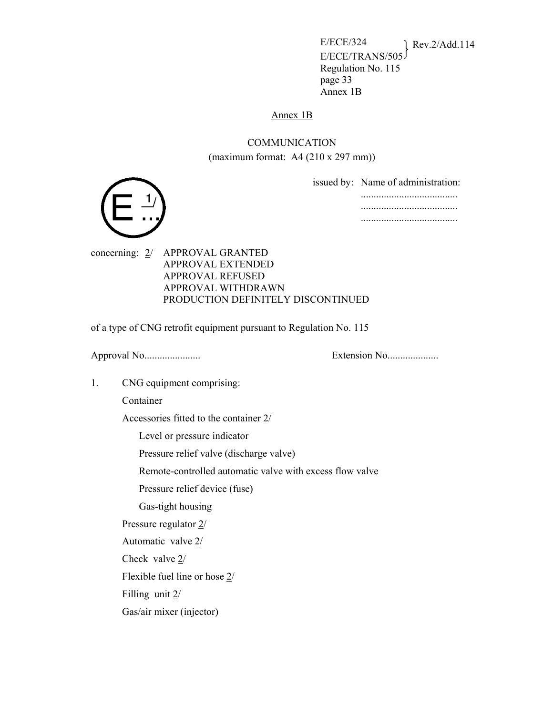E/ECE/324 Rev.2/Add.114 E/ECE/TRANS/505 Regulation No. 115 page 33 Annex 1B

#### Annex 1B

## COMMUNICATION (maximum format: A4 (210 x 297 mm))

issued by: Name of administration: ...................................... ......................................

......................................



concerning: 2/ APPROVAL GRANTED APPROVAL EXTENDED APPROVAL REFUSED APPROVAL WITHDRAWN PRODUCTION DEFINITELY DISCONTINUED

of a type of CNG retrofit equipment pursuant to Regulation No. 115

Approval No...................... Extension No....................

1. CNG equipment comprising:

Container

Accessories fitted to the container 2/

Level or pressure indicator

Pressure relief valve (discharge valve)

Remote-controlled automatic valve with excess flow valve

Pressure relief device (fuse)

Gas-tight housing

Pressure regulator 2/

Automatic valve 2/

Check valve 2/

Flexible fuel line or hose 2/

Filling unit 2/

Gas/air mixer (injector)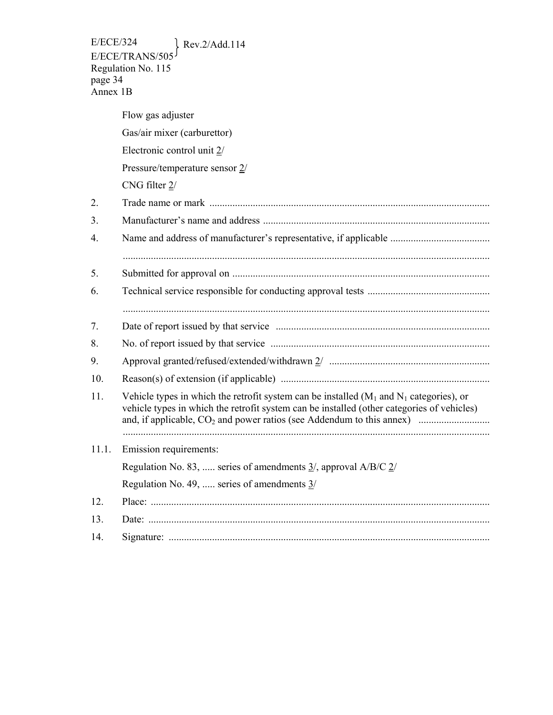E/ECE/324 Rev.2/Add.114 E/ECE/TRANS/505 Regulation No. 115 page 34 Annex 1B

|       | Flow gas adjuster                                                                                                                                                                          |
|-------|--------------------------------------------------------------------------------------------------------------------------------------------------------------------------------------------|
|       | Gas/air mixer (carburettor)                                                                                                                                                                |
|       | Electronic control unit 2/                                                                                                                                                                 |
|       | Pressure/temperature sensor 2/                                                                                                                                                             |
|       | CNG filter 2/                                                                                                                                                                              |
| 2.    |                                                                                                                                                                                            |
| 3.    |                                                                                                                                                                                            |
| 4.    |                                                                                                                                                                                            |
| 5.    |                                                                                                                                                                                            |
| 6.    |                                                                                                                                                                                            |
| 7.    |                                                                                                                                                                                            |
| 8.    |                                                                                                                                                                                            |
| 9.    |                                                                                                                                                                                            |
| 10.   |                                                                                                                                                                                            |
| 11.   | Vehicle types in which the retrofit system can be installed $(M_1$ and $N_1$ categories), or<br>vehicle types in which the retrofit system can be installed (other categories of vehicles) |
| 11.1. | Emission requirements:                                                                                                                                                                     |
|       | Regulation No. 83,  series of amendments $\frac{3}{2}$ , approval A/B/C $\frac{2}{2}$                                                                                                      |
|       | Regulation No. 49,  series of amendments $\frac{3}{2}$                                                                                                                                     |
| 12.   |                                                                                                                                                                                            |
| 13.   |                                                                                                                                                                                            |
| 14.   |                                                                                                                                                                                            |
|       |                                                                                                                                                                                            |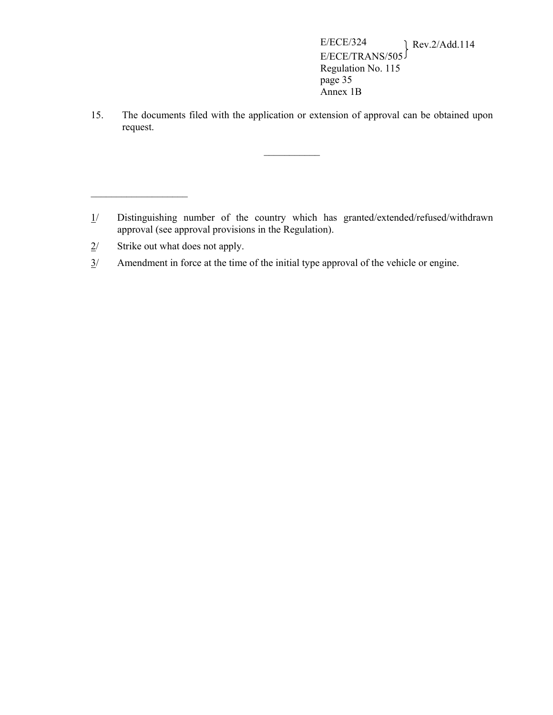15. The documents filed with the application or extension of approval can be obtained upon request.

 $\mathcal{L}_\text{max}$ 

 $\mathcal{L}$  and  $\mathcal{L}$ 

<sup>1/</sup> Distinguishing number of the country which has granted/extended/refused/withdrawn approval (see approval provisions in the Regulation).

 $2$ / Strike out what does not apply.

 $3/$  Amendment in force at the time of the initial type approval of the vehicle or engine.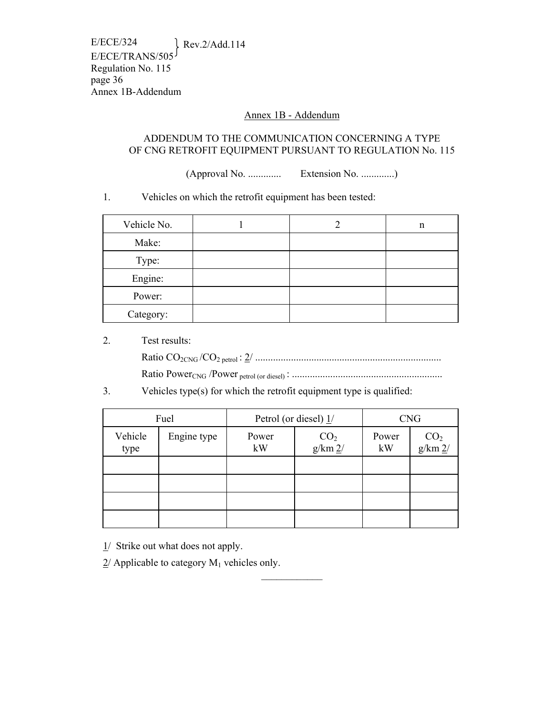E/ECE/324 Rev.2/Add.114 E/ECE/TRANS/505 Regulation No. 115 page 36 Annex 1B-Addendum

#### Annex 1B - Addendum

#### ADDENDUM TO THE COMMUNICATION CONCERNING A TYPE OF CNG RETROFIT EQUIPMENT PURSUANT TO REGULATION No. 115

(Approval No. ............. Extension No. .............)

1. Vehicles on which the retrofit equipment has been tested:

| Vehicle No. |  | n |
|-------------|--|---|
| Make:       |  |   |
| Type:       |  |   |
| Engine:     |  |   |
| Power:      |  |   |
| Category:   |  |   |

#### 2. Test results:

Ratio CO2CNG /CO2 petrol : 2/ .........................................................................

Ratio PowerCNG /Power petrol (or diesel) : ...........................................................

3. Vehicles type(s) for which the retrofit equipment type is qualified:

| Fuel            |             | Petrol (or diesel) $1/$ |                                     | <b>CNG</b>  |                                     |
|-----------------|-------------|-------------------------|-------------------------------------|-------------|-------------------------------------|
| Vehicle<br>type | Engine type | Power<br>kW             | $\frac{\text{CO}_2}{\text{g/km 2}}$ | Power<br>kW | $\frac{\text{CO}_2}{\text{g/km 2}}$ |
|                 |             |                         |                                     |             |                                     |
|                 |             |                         |                                     |             |                                     |
|                 |             |                         |                                     |             |                                     |
|                 |             |                         |                                     |             |                                     |

 $\frac{1}{2}$ 

 $1/$  Strike out what does not apply.

 $2/$  Applicable to category  $M_1$  vehicles only.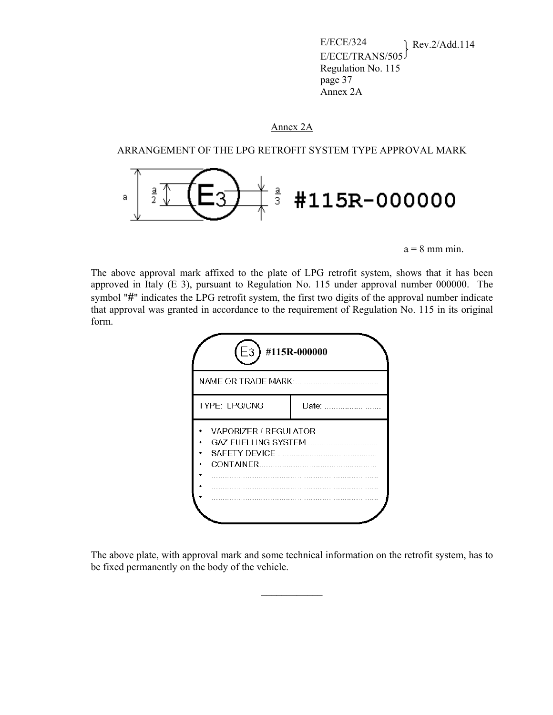E/ECE/324 Rev.2/Add.114 E/ECE/TRANS/505 Regulation No. 115 page 37 Annex 2A

### Annex 2A

ARRANGEMENT OF THE LPG RETROFIT SYSTEM TYPE APPROVAL MARK



 $a = 8$  mm min.

The above approval mark affixed to the plate of LPG retrofit system, shows that it has been approved in Italy (E 3), pursuant to Regulation No. 115 under approval number 000000. The symbol "**#**" indicates the LPG retrofit system, the first two digits of the approval number indicate that approval was granted in accordance to the requirement of Regulation No. 115 in its original form.

| E <sub>3</sub>                                                                                                                 | #115R-000000               |  |
|--------------------------------------------------------------------------------------------------------------------------------|----------------------------|--|
| NAME OR TRADE MARK:                                                                                                            |                            |  |
| TYPE: LPG/CNG<br>Date: In the state of the state of the state of the state of the state of the state of the state of the state |                            |  |
|                                                                                                                                | VAPORIZER / REGULATOR<br>. |  |

The above plate, with approval mark and some technical information on the retrofit system, has to be fixed permanently on the body of the vehicle.

 $\mathcal{L}_\text{max}$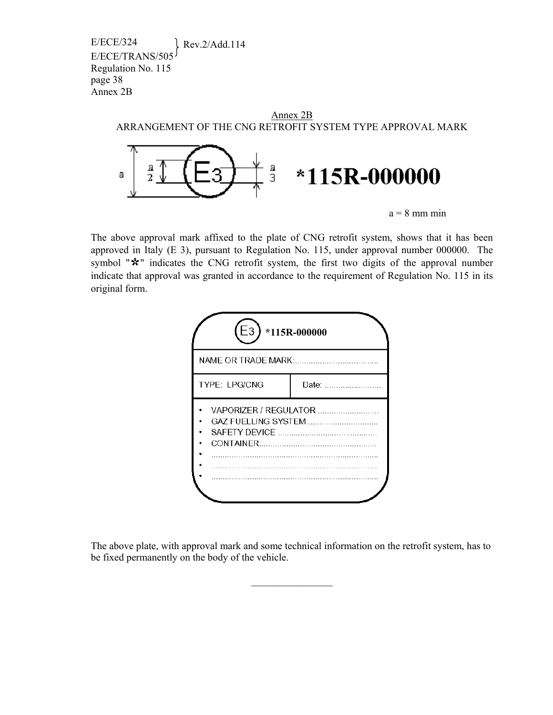> Annex 2B ARRANGEMENT OF THE CNG RETROFIT SYSTEM TYPE APPROVAL MARK а а \*115R-000000 а З  $a = 8$  mm min

The above approval mark affixed to the plate of CNG retrofit system, shows that it has been approved in Italy (E 3), pursuant to Regulation No. 115, under approval number 000000. The symbol " $\star$ " indicates the CNG retrofit system, the first two digits of the approval number indicate that approval was granted in accordance to the requirement of Regulation No. 115 in its original form.



The above plate, with approval mark and some technical information on the retrofit system, has to be fixed permanently on the body of the vehicle.

 $\mathcal{L}_\text{max}$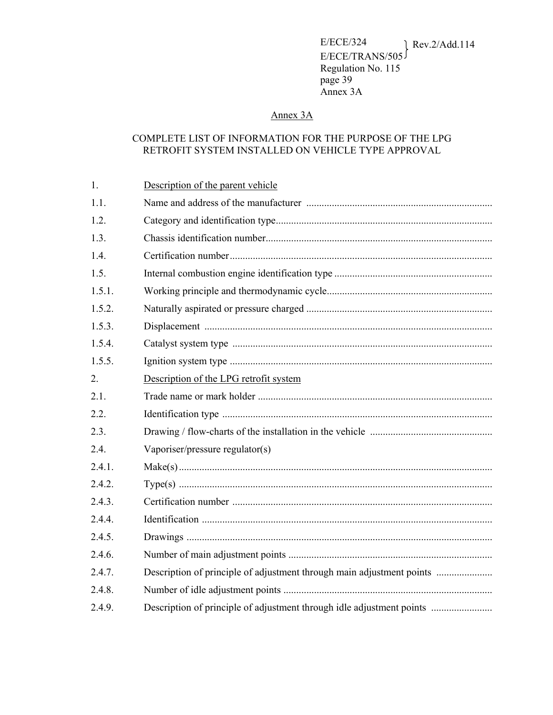## Annex 3A

## COMPLETE LIST OF INFORMATION FOR THE PURPOSE OF THE LPG RETROFIT SYSTEM INSTALLED ON VEHICLE TYPE APPROVAL

| 1.     | Description of the parent vehicle                                     |
|--------|-----------------------------------------------------------------------|
| 1.1.   |                                                                       |
| 1.2.   |                                                                       |
| 1.3.   |                                                                       |
| 1.4.   |                                                                       |
| 1.5.   |                                                                       |
| 1.5.1. |                                                                       |
| 1.5.2. |                                                                       |
| 1.5.3. |                                                                       |
| 1.5.4. |                                                                       |
| 1.5.5. |                                                                       |
| 2.     | Description of the LPG retrofit system                                |
| 2.1.   |                                                                       |
| 2.2.   |                                                                       |
| 2.3.   |                                                                       |
| 2.4.   | Vaporiser/pressure regulator(s)                                       |
| 2.4.1. |                                                                       |
| 2.4.2. |                                                                       |
| 2.4.3. |                                                                       |
| 2.4.4. |                                                                       |
| 2.4.5. |                                                                       |
| 2.4.6. |                                                                       |
| 2.4.7. | Description of principle of adjustment through main adjustment points |
| 2.4.8. |                                                                       |
| 2.4.9. | Description of principle of adjustment through idle adjustment points |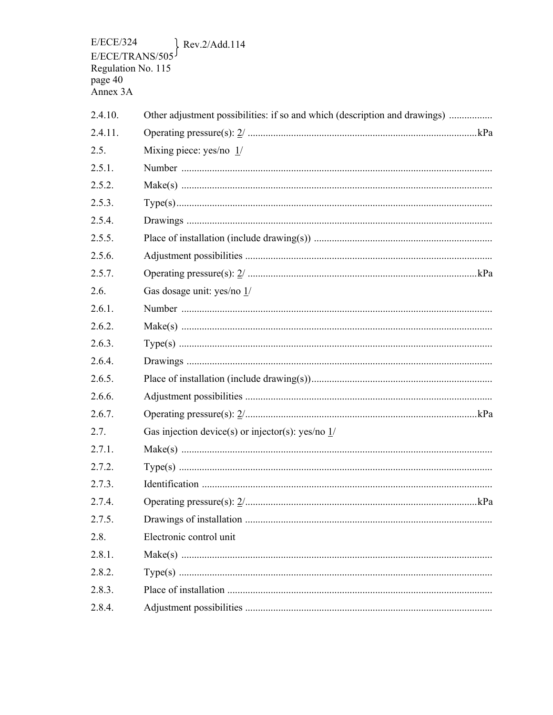$E/ECE/324$  $\}$  Rev.2/Add.114  $E/ECE/TRANS/505$ <br>
Regulation No. 115<br>
page 40<br>
Annex 3A

| 2.4.10. | Other adjustment possibilities: if so and which (description and drawings) |
|---------|----------------------------------------------------------------------------|
| 2.4.11. |                                                                            |
| 2.5.    | Mixing piece: yes/no $1/$                                                  |
| 2.5.1.  |                                                                            |
| 2.5.2.  |                                                                            |
| 2.5.3.  |                                                                            |
| 2.5.4.  |                                                                            |
| 2.5.5.  |                                                                            |
| 2.5.6.  |                                                                            |
| 2.5.7.  |                                                                            |
| 2.6.    | Gas dosage unit: yes/no 1/                                                 |
| 2.6.1.  |                                                                            |
| 2.6.2.  |                                                                            |
| 2.6.3.  |                                                                            |
| 2.6.4.  |                                                                            |
| 2.6.5.  |                                                                            |
| 2.6.6.  |                                                                            |
| 2.6.7.  |                                                                            |
| 2.7.    | Gas injection device(s) or injector(s): yes/no $1/$                        |
| 2.7.1.  |                                                                            |
| 2.7.2.  |                                                                            |
| 2.7.3.  |                                                                            |
| 2.7.4.  |                                                                            |
| 2.7.5.  |                                                                            |
| 2.8.    | Electronic control unit                                                    |
| 2.8.1.  |                                                                            |
| 2.8.2.  |                                                                            |
| 2.8.3.  |                                                                            |
| 2.8.4.  |                                                                            |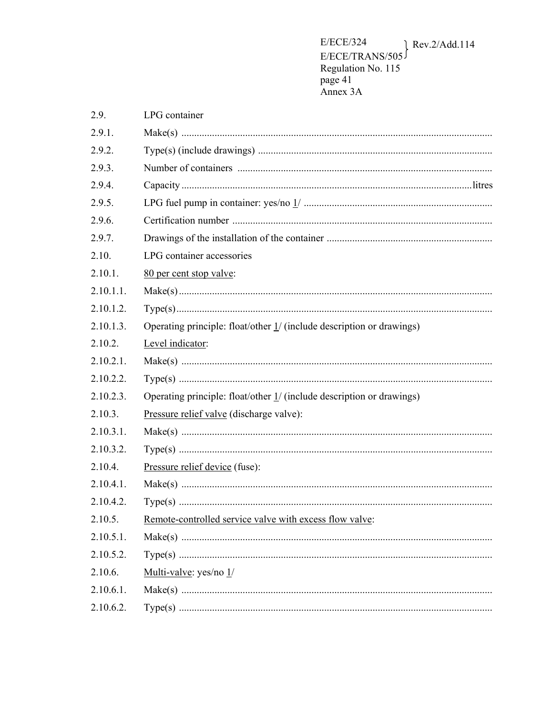$\rm E/ECE/324$  $\ell$  Rev.2/Add.114  $E/ECE/TRANS/505$ <br>
Regulation No. 115<br>
page 41<br>
Annex 3A

| 2.9.         | LPG container                                                         |
|--------------|-----------------------------------------------------------------------|
| 2.9.1.       |                                                                       |
| 2.9.2.       |                                                                       |
| 2.9.3.       |                                                                       |
| 2.9.4.       |                                                                       |
| 2.9.5.       |                                                                       |
| 2.9.6.       |                                                                       |
| 2.9.7.       |                                                                       |
| 2.10.        | LPG container accessories                                             |
| 2.10.1.      | 80 per cent stop valve:                                               |
| $2.10.1.1$ . |                                                                       |
| 2.10.1.2.    |                                                                       |
| 2.10.1.3.    | Operating principle: float/other 1/ (include description or drawings) |
| 2.10.2.      | Level indicator:                                                      |
| $2.10.2.1$ . |                                                                       |
| 2.10.2.2.    |                                                                       |
| 2.10.2.3.    | Operating principle: float/other 1/ (include description or drawings) |
| 2.10.3.      | Pressure relief valve (discharge valve):                              |
| 2.10.3.1.    |                                                                       |
| 2.10.3.2.    |                                                                       |
| 2.10.4.      | Pressure relief device (fuse):                                        |
| 2.10.4.1.    |                                                                       |
| 2.10.4.2.    |                                                                       |
| 2.10.5.      | Remote-controlled service valve with excess flow valve:               |
| 2.10.5.1.    |                                                                       |
| 2.10.5.2.    |                                                                       |
| 2.10.6.      | Multi-valve: yes/no 1/                                                |
| 2.10.6.1.    |                                                                       |
| 2.10.6.2.    |                                                                       |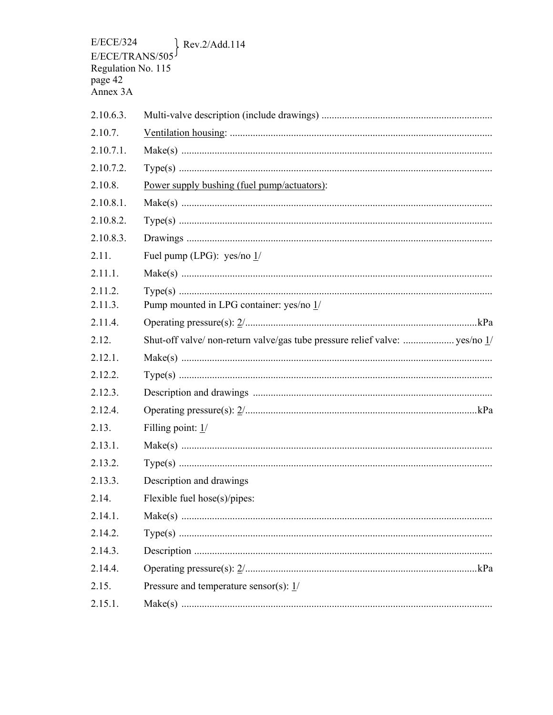**E/ECE/324** Rev.2/Add.114 E/ECE/TRANS/50 Regulation No. 115 page 42 Annex 3A  $2.10.6.3.$  $2.10.7.$  $2.10.7.1$ .  $2.10.7.2.$  $2.10.8$ Power supply bushing (fuel pump/actuators):  $2.10.8.1$ .  $2.10.8.2.$  $2.10.8.3.$  $2.11.$ Fuel pump (LPG): yes/no  $1/$  $2.11.1.$  $2.11.2.$  $2.11.3.$ Pump mounted in LPG container: yes/no 1/ 2 1 1 4 2 1 2  $2.12.1.$  $2122$  $2.12.3.$ 2 1 2 4  $2.13.$ Filling point: 1/ 2 1 3 1 2.13.2.  $2.13.3.$ Description and drawings  $2.14.$ Flexible fuel hose( $s$ )/pipes:  $2.14.1$ .  $2.14.2.$  $2.14.3.$ 2.14.4.  $2.15.$ Pressure and temperature sensor(s): 1/  $2, 15, 1$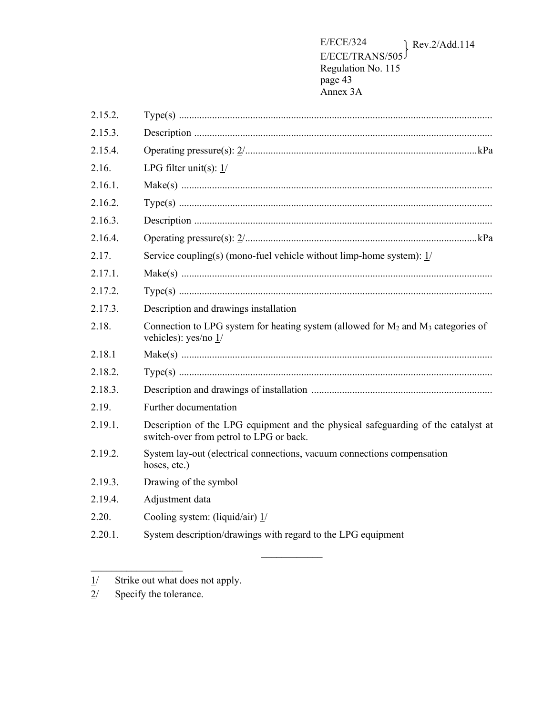| 2.15.2.    |                                                                                                                              |
|------------|------------------------------------------------------------------------------------------------------------------------------|
| 2.15.3.    |                                                                                                                              |
| 2.15.4.    |                                                                                                                              |
| 2.16.      | LPG filter unit(s): $1/$                                                                                                     |
| 2.16.1.    |                                                                                                                              |
| 2.16.2.    |                                                                                                                              |
| 2.16.3.    |                                                                                                                              |
| 2.16.4.    |                                                                                                                              |
| 2.17.      | Service coupling(s) (mono-fuel vehicle without limp-home system): $1/$                                                       |
| 2.17.1.    |                                                                                                                              |
| 2.17.2.    |                                                                                                                              |
| 2.17.3.    | Description and drawings installation                                                                                        |
| 2.18.      | Connection to LPG system for heating system (allowed for $M_2$ and $M_3$ categories of<br>vehicles): yes/no 1/               |
| 2.18.1     |                                                                                                                              |
| 2.18.2.    |                                                                                                                              |
| 2.18.3.    |                                                                                                                              |
| 2.19.      | Further documentation                                                                                                        |
| 2.19.1.    | Description of the LPG equipment and the physical safeguarding of the catalyst at<br>switch-over from petrol to LPG or back. |
| 2.19.2.    | System lay-out (electrical connections, vacuum connections compensation<br>hoses, etc.)                                      |
| 2.19.3.    | Drawing of the symbol                                                                                                        |
| 2.19.4.    | Adjustment data                                                                                                              |
| 2.20.      | Cooling system: (liquid/air) $1/$                                                                                            |
| $2.20.1$ . | System description/drawings with regard to the LPG equipment                                                                 |
|            |                                                                                                                              |

 $\frac{1}{2}$ 

 $\frac{1}{2}$  ,  $\frac{1}{2}$  ,  $\frac{1}{2}$  ,  $\frac{1}{2}$  ,  $\frac{1}{2}$  ,  $\frac{1}{2}$  ,  $\frac{1}{2}$  ,  $\frac{1}{2}$  ,  $\frac{1}{2}$  ,  $\frac{1}{2}$ 

 $1/$  Strike out what does not apply.

 $2/$  Specify the tolerance.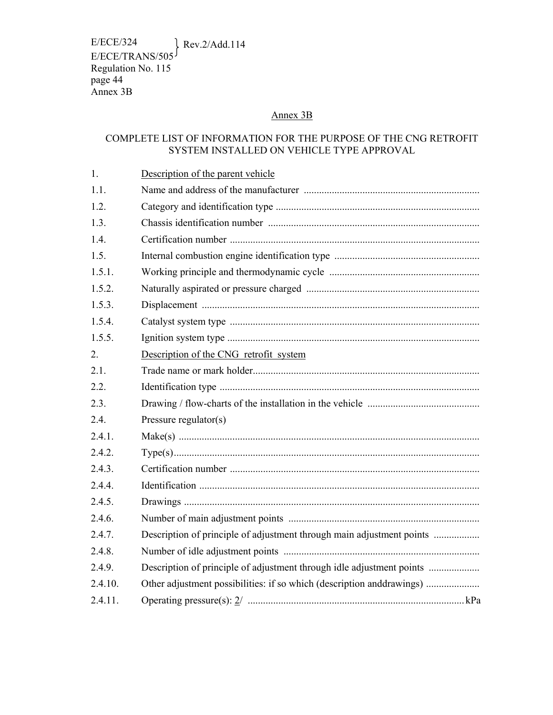E/ECE/324 Rev.2/Add.114 E/ECE/TRANS/505 Regulation No. 115 page 44 Annex 3B

## Annex 3B

## COMPLETE LIST OF INFORMATION FOR THE PURPOSE OF THE CNG RETROFIT SYSTEM INSTALLED ON VEHICLE TYPE APPROVAL

| 1.      | Description of the parent vehicle                                     |
|---------|-----------------------------------------------------------------------|
| 1.1.    |                                                                       |
| 1.2.    |                                                                       |
| 1.3.    |                                                                       |
| 1.4.    |                                                                       |
| 1.5.    |                                                                       |
| 1.5.1.  |                                                                       |
| 1.5.2.  |                                                                       |
| 1.5.3.  |                                                                       |
| 1.5.4.  |                                                                       |
| 1.5.5.  |                                                                       |
| 2.      | Description of the CNG retrofit system                                |
| 2.1.    |                                                                       |
| 2.2.    |                                                                       |
| 2.3.    |                                                                       |
| 2.4.    | Pressure regulator(s)                                                 |
| 2.4.1.  |                                                                       |
| 2.4.2.  |                                                                       |
| 2.4.3.  |                                                                       |
| 2.4.4.  |                                                                       |
| 2.4.5.  |                                                                       |
| 2.4.6.  |                                                                       |
| 2.4.7.  |                                                                       |
| 2.4.8.  |                                                                       |
| 2.4.9.  | Description of principle of adjustment through idle adjustment points |
| 2.4.10. |                                                                       |
| 2.4.11. |                                                                       |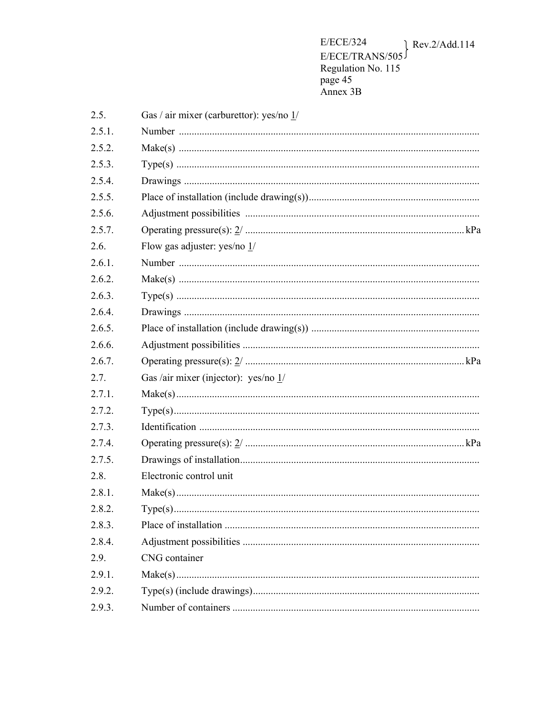E/ECE/324  $\ell$  Rev.2/Add.114  $E/ECE/TRANS/505$ <br>
Regulation No. 115<br>
page 45<br>
Annex 3B

| 2.5.   | Gas / air mixer (carburettor): yes/no 1/ |
|--------|------------------------------------------|
| 2.5.1. |                                          |
| 2.5.2. |                                          |
| 2.5.3. |                                          |
| 2.5.4. |                                          |
| 2.5.5. |                                          |
| 2.5.6. |                                          |
| 2.5.7. |                                          |
| 2.6.   | Flow gas adjuster: yes/no $1/$           |
| 2.6.1. |                                          |
| 2.6.2. |                                          |
| 2.6.3. |                                          |
| 2.6.4. |                                          |
| 2.6.5. |                                          |
| 2.6.6. |                                          |
| 2.6.7. |                                          |
| 2.7.   | Gas /air mixer (injector): yes/no 1/     |
| 2.7.1. |                                          |
| 2.7.2. |                                          |
| 2.7.3. |                                          |
| 2.7.4. |                                          |
| 2.7.5. |                                          |
| 2.8.   | Electronic control unit                  |
| 2.8.1. |                                          |
| 2.8.2. |                                          |
| 2.8.3. |                                          |
| 2.8.4. |                                          |
| 2.9.   | CNG container                            |
| 2.9.1. |                                          |
| 2.9.2. |                                          |
| 2.9.3. |                                          |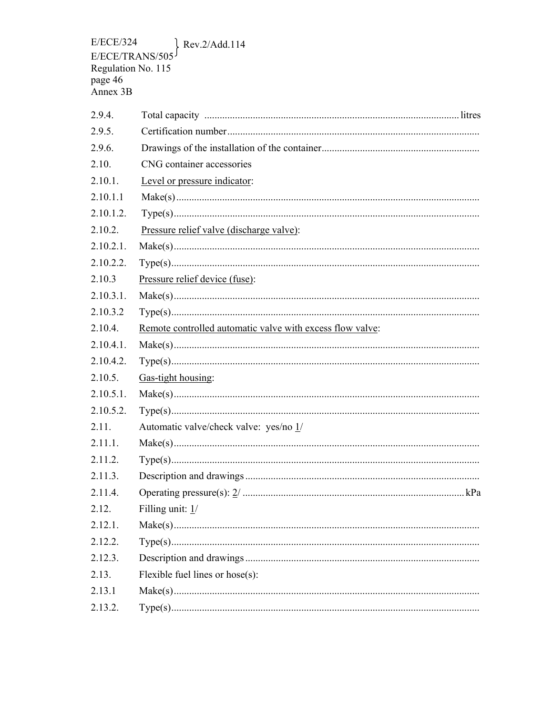$E/ECE/324$  $\}$  Rev.2/Add.114  $E/ECE/TRANS/505$ <br>
Regulation No. 115<br>
page 46<br>
Annex 3B

| 2.9.4.       |                                                           |
|--------------|-----------------------------------------------------------|
| 2.9.5.       |                                                           |
| 2.9.6.       |                                                           |
| 2.10.        | CNG container accessories                                 |
| 2.10.1.      | Level or pressure indicator:                              |
| 2.10.1.1     |                                                           |
| 2.10.1.2.    |                                                           |
| 2.10.2.      | Pressure relief valve (discharge valve):                  |
| $2.10.2.1$ . |                                                           |
| 2.10.2.2.    |                                                           |
| 2.10.3       | Pressure relief device (fuse):                            |
| 2.10.3.1.    |                                                           |
| 2.10.3.2     |                                                           |
| 2.10.4.      | Remote controlled automatic valve with excess flow valve: |
| $2.10.4.1$ . |                                                           |
| 2.10.4.2.    |                                                           |
| 2.10.5.      | Gas-tight housing:                                        |
| 2.10.5.1.    |                                                           |
| 2.10.5.2.    |                                                           |
| 2.11.        | Automatic valve/check valve: yes/no 1/                    |
| 2.11.1.      |                                                           |
| 2.11.2.      |                                                           |
| 2.11.3.      |                                                           |
| 2.11.4.      |                                                           |
| 2.12.        | Filling unit: 1/                                          |
| 2.12.1.      |                                                           |
| 2.12.2.      |                                                           |
| 2.12.3.      |                                                           |
| 2.13.        | Flexible fuel lines or hose(s):                           |
| 2.13.1       |                                                           |
| 2.13.2.      |                                                           |
|              |                                                           |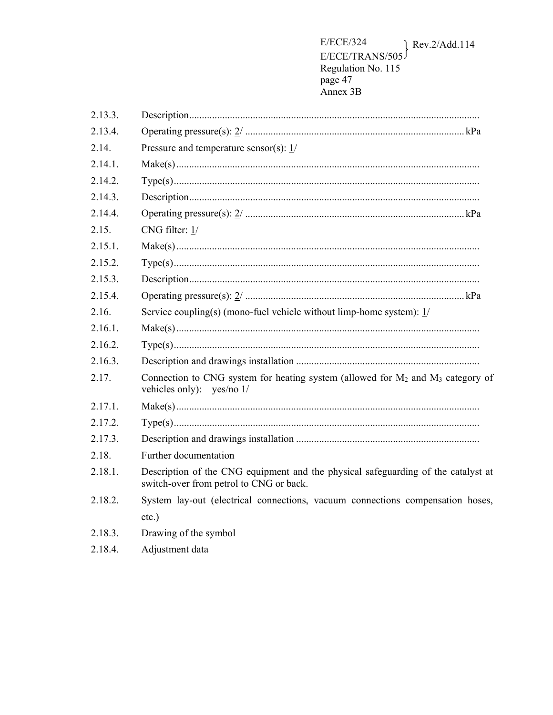**E/ECE/324**  $\ell$  Rev.2/Add.114  $E/ECE/TRANS/505$ <br>
Regulation No. 115<br>
page 47<br>
Annex 3B

| 2.13.3. |                                                                                                                              |  |  |
|---------|------------------------------------------------------------------------------------------------------------------------------|--|--|
| 2.13.4. |                                                                                                                              |  |  |
| 2.14.   | Pressure and temperature sensor(s): $1/$                                                                                     |  |  |
| 2.14.1. |                                                                                                                              |  |  |
| 2.14.2. |                                                                                                                              |  |  |
| 2.14.3. |                                                                                                                              |  |  |
| 2.14.4. |                                                                                                                              |  |  |
| 2.15.   | CNG filter: $1/$                                                                                                             |  |  |
| 2.15.1. |                                                                                                                              |  |  |
| 2.15.2. |                                                                                                                              |  |  |
| 2.15.3. |                                                                                                                              |  |  |
| 2.15.4. |                                                                                                                              |  |  |
| 2.16.   | Service coupling(s) (mono-fuel vehicle without limp-home system): $1/$                                                       |  |  |
| 2.16.1. |                                                                                                                              |  |  |
| 2.16.2. |                                                                                                                              |  |  |
| 2.16.3. |                                                                                                                              |  |  |
| 2.17.   | Connection to CNG system for heating system (allowed for $M_2$ and $M_3$ category of<br>vehicles only): yes/no 1/            |  |  |
| 2.17.1. |                                                                                                                              |  |  |
| 2.17.2. |                                                                                                                              |  |  |
| 2.17.3. |                                                                                                                              |  |  |
| 2.18.   | Further documentation                                                                                                        |  |  |
| 2.18.1. | Description of the CNG equipment and the physical safeguarding of the catalyst at<br>switch-over from petrol to CNG or back. |  |  |
| 2.18.2. | System lay-out (electrical connections, vacuum connections compensation hoses,                                               |  |  |
|         | $etc.$ )                                                                                                                     |  |  |
| 2.18.3. | Drawing of the symbol                                                                                                        |  |  |
| 2.18.4. | Adjustment data                                                                                                              |  |  |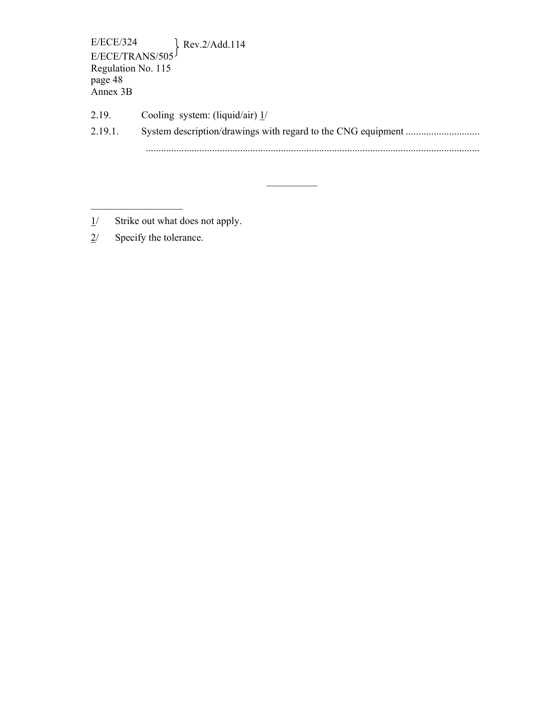E/ECE/324 Rev.2/Add.114 E/ECE/TRANS/505 Regulation No. 115 page 48 Annex 3B

2.19. Cooling system: (liquid/air)  $\frac{1}{2}$ 2.19.1. System description/drawings with regard to the CNG equipment ............................... ...................................................................................................................................

 $\mathcal{L}_\text{max}$ 

- $1/$  Strike out what does not apply.
- 2/ Specify the tolerance.

 $\mathcal{L}_\text{max}$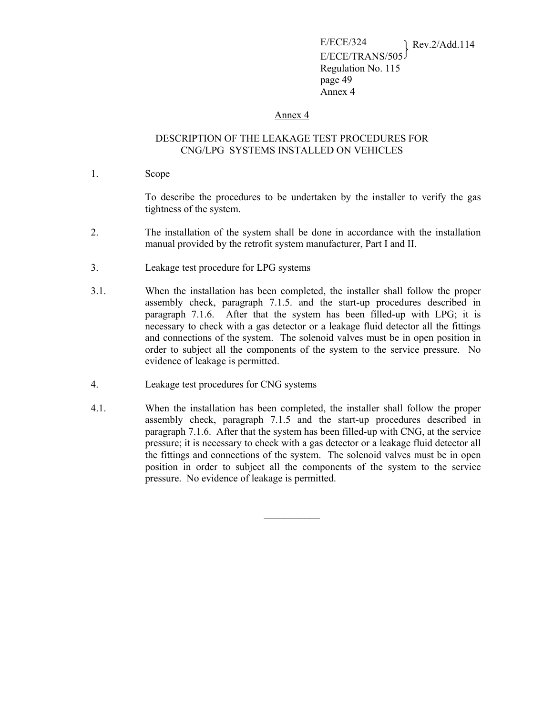#### Annex 4

#### DESCRIPTION OF THE LEAKAGE TEST PROCEDURES FOR CNG/LPG SYSTEMS INSTALLED ON VEHICLES

1. Scope

 To describe the procedures to be undertaken by the installer to verify the gas tightness of the system.

- 2. The installation of the system shall be done in accordance with the installation manual provided by the retrofit system manufacturer, Part I and II.
- 3. Leakage test procedure for LPG systems
- 3.1. When the installation has been completed, the installer shall follow the proper assembly check, paragraph 7.1.5. and the start-up procedures described in paragraph 7.1.6. After that the system has been filled-up with LPG; it is necessary to check with a gas detector or a leakage fluid detector all the fittings and connections of the system. The solenoid valves must be in open position in order to subject all the components of the system to the service pressure. No evidence of leakage is permitted.
- 4. Leakage test procedures for CNG systems
- 4.1. When the installation has been completed, the installer shall follow the proper assembly check, paragraph 7.1.5 and the start-up procedures described in paragraph 7.1.6. After that the system has been filled-up with CNG, at the service pressure; it is necessary to check with a gas detector or a leakage fluid detector all the fittings and connections of the system. The solenoid valves must be in open position in order to subject all the components of the system to the service pressure. No evidence of leakage is permitted.

 $\mathcal{L}_\text{max}$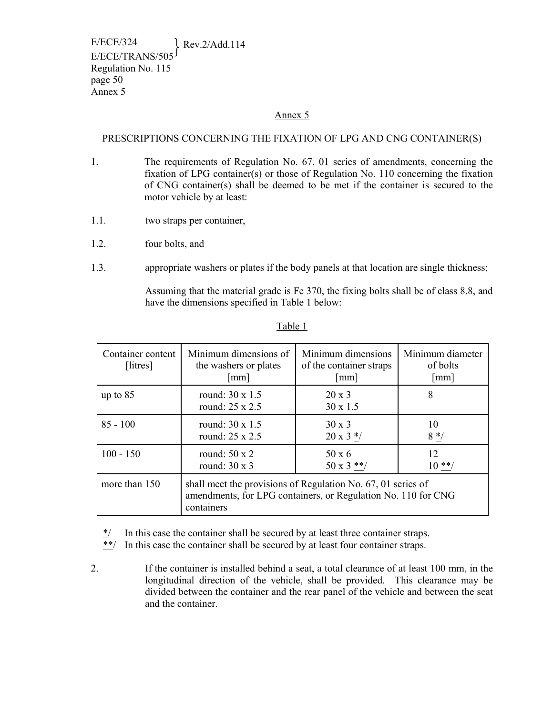#### Annex 5

### PRESCRIPTIONS CONCERNING THE FIXATION OF LPG AND CNG CONTAINER(S)

- 1. The requirements of Regulation No. 67, 01 series of amendments, concerning the fixation of LPG container(s) or those of Regulation No. 110 concerning the fixation of CNG container(s) shall be deemed to be met if the container is secured to the motor vehicle by at least:
- 1.1. two straps per container,
- 1.2. four bolts, and
- 1.3. appropriate washers or plates if the body panels at that location are single thickness;

Assuming that the material grade is Fe 370, the fixing bolts shall be of class 8.8, and have the dimensions specified in Table 1 below:

| Container content<br>[litres] | Minimum dimensions of<br>the washers or plates<br>$\lceil$ mm $\rceil$                                                                      | Minimum dimensions<br>of the container straps<br>$\lceil$ mm $\rceil$ | Minimum diameter<br>of bolts<br>[mm] |  |
|-------------------------------|---------------------------------------------------------------------------------------------------------------------------------------------|-----------------------------------------------------------------------|--------------------------------------|--|
| up to $85$                    | round: $30 \times 1.5$<br>round: $25 \times 2.5$                                                                                            | $20 \times 3$<br>$30 \times 1.5$                                      | 8                                    |  |
| $85 - 100$                    | round: $30 \times 1.5$<br>round: 25 x 2.5                                                                                                   | $30 \times 3$<br>$20 \times 3$ */                                     | 10<br>$8 * /$                        |  |
| $100 - 150$                   | round: $50 \times 2$<br>round: $30 \times 3$                                                                                                | $50 \times 6$<br>$50 \times 3$ **/                                    | 12<br>$10**/$                        |  |
| more than 150                 | shall meet the provisions of Regulation No. 67, 01 series of<br>amendments, for LPG containers, or Regulation No. 110 for CNG<br>containers |                                                                       |                                      |  |

#### Table 1

 $*$  In this case the container shall be secured by at least three container straps.<br> $*$  In this case the container shall be secured by at least four container straps.

In this case the container shall be secured by at least four container straps.

2. If the container is installed behind a seat, a total clearance of at least 100 mm, in the longitudinal direction of the vehicle, shall be provided. This clearance may be divided between the container and the rear panel of the vehicle and between the seat and the container.